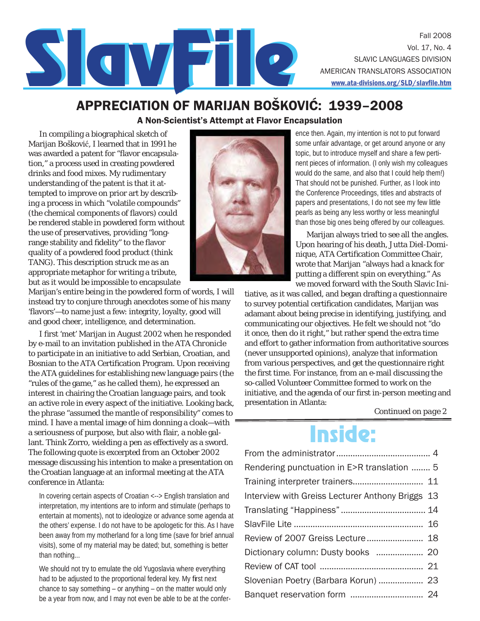

### APPRECIATION OF MARIJAN BOŠKOVIĆ: 1939–2008

A Non-Scientist's Attempt at Flavor Encapsulation

In compiling a biographical sketch of Marijan Bošković, I learned that in 1991 he was awarded a patent for "flavor encapsulation," a process used in creating powdered drinks and food mixes. My rudimentary understanding of the patent is that it attempted to improve on prior art by describing a process in which "volatile compounds" (the chemical components of flavors) could be rendered stable in powdered form without the use of preservatives, providing "longrange stability and fidelity" to the flavor quality of a powdered food product (think TANG). This description struck me as an appropriate metaphor for writing a tribute, but as it would be impossible to encapsulate

Marijan's entire being in the powdered form of words, I will instead try to conjure through anecdotes some of his many 'flavors'—to name just a few: integrity, loyalty, good will and good cheer, intelligence, and determination.

I first 'met' Marijan in August 2002 when he responded by e-mail to an invitation published in the ATA *Chronicle* to participate in an initiative to add Serbian, Croatian, and Bosnian to the ATA Certification Program. Upon receiving the ATA guidelines for establishing new language pairs (the "rules of the game," as he called them), he expressed an interest in chairing the Croatian language pairs, and took an active role in every aspect of the initiative. Looking back, the phrase "assumed the mantle of responsibility" comes to mind. I have a mental image of him donning a cloak—with a seriousness of purpose, but also with flair, a noble gallant. Think Zorro, wielding a pen as effectively as a sword. The following quote is excerpted from an October 2002 message discussing his intention to make a presentation on the Croatian language at an informal meeting at the ATA conference in Atlanta:

In covering certain aspects of Croatian <--> English translation and interpretation, my intentions are to inform and stimulate (perhaps to entertain at moments), not to ideologize or advance some agenda at the others' expense. I do not have to be apologetic for this. As I have been away from my motherland for a long time (save for brief annual visits), some of my material may be dated; but, something is better than nothing...

We should not try to emulate the old Yugoslavia where everything had to be adjusted to the proportional federal key. My first next chance to say something – or anything – on the matter would only be a year from now, and I may not even be able to be at the confer-



ence then. Again, my intention is not to put forward some unfair advantage, or get around anyone or any topic, but to introduce myself and share a few pertinent pieces of information. (I only wish my colleagues would do the same, and also that I could help them!) That should not be punished. Further, as I look into the Conference Proceedings, titles and abstracts of papers and presentations, I do not see my few little pearls as being any less worthy or less meaningful than those big ones being offered by our colleagues.

Marijan always tried to see all the angles. Upon hearing of his death, Jutta Diel-Dominique, ATA Certification Committee Chair, wrote that Marijan "always had a knack for putting a different spin on everything." As we moved forward with the South Slavic Ini-

tiative, as it was called, and began drafting a questionnaire to survey potential certification candidates, Marijan was adamant about being precise in identifying, justifying, and communicating our objectives. He felt we should not "do it once, then do it right," but rather spend the extra time and effort to gather information from authoritative sources (never unsupported opinions), analyze that information from various perspectives, and get the questionnaire right the first time. For instance, from an e-mail discussing the so-called Volunteer Committee formed to work on the initiative, and the agenda of our first in-person meeting and presentation in Atlanta:

*Continued on page 2*

# Inside:

| Rendering punctuation in E>R translation  5      |  |
|--------------------------------------------------|--|
|                                                  |  |
| Interview with Greiss Lecturer Anthony Briggs 13 |  |
|                                                  |  |
|                                                  |  |
| Review of 2007 Greiss Lecture 18                 |  |
| Dictionary column: Dusty books  20               |  |
|                                                  |  |
| Slovenian Poetry (Barbara Korun)  23             |  |
| Banquet reservation form  24                     |  |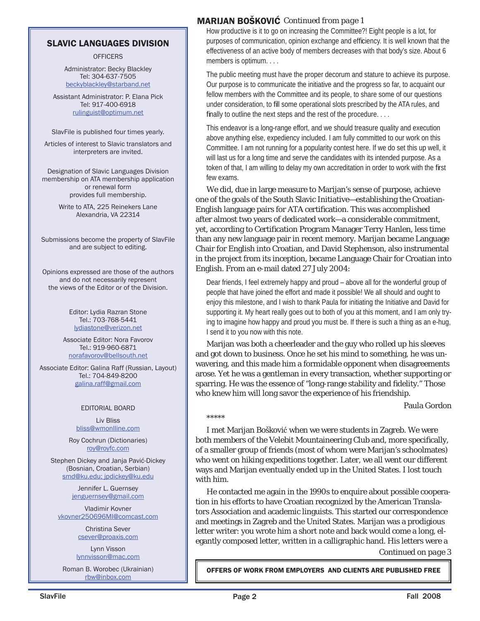### SLAVIC LANGUAGES DIVISION

**OFFICERS** 

Administrator: Becky Blackley Tel: 304-637-7505 beckyblackley@starband.net

Assistant Administrator: P. Elana Pick Tel: 917-400-6918 rulinguist@optimum.net

SlavFile is published four times yearly.

Articles of interest to Slavic translators and interpreters are invited.

Designation of Slavic Languages Division membership on ATA membership application or renewal form provides full membership.

> Write to ATA, 225 Reinekers Lane Alexandria, VA 22314

Submissions become the property of SlavFile and are subject to editing.

Opinions expressed are those of the authors and do not necessarily represent the views of the Editor or of the Division.

> Editor: Lydia Razran Stone Tel.: 703-768-5441 lydiastone@verizon.net

Associate Editor: Nora Favorov Tel.: 919-960-6871 norafavorov@bellsouth.net

Associate Editor: Galina Raff (Russian, Layout) Tel.: 704-849-8200 galina.raff@gmail.com

#### EDITORIAL BOARD

Liv Bliss bliss@wmonlline.com

Roy Cochrun (Dictionaries) roy@royfc.com

Stephen Dickey and Janja Pavić-Dickey (Bosnian, Croatian, Serbian) smd@ku.edu; jpdickey@ku.edu

> Jennifer L. Guernsey jenguernsey@gmail.com

Vladimir Kovner vkovner250696MI@comcast.com

> Christina Sever csever@proaxis.com

Lynn Visson lynnvisson@mac.com

Roman B. Worobec (Ukrainian) rbw@inbox.com

### MARIJAN BOŠKOVIĆ *Continued from page 1*

How productive is it to go on increasing the Committee?! Eight people is a lot, for purposes of communication, opinion exchange and efficiency. It is well known that the effectiveness of an active body of members decreases with that body's size. About 6 members is optimum. . . .

The public meeting must have the proper decorum and stature to achieve its purpose. Our purpose is to communicate the initiative and the progress so far, to acquaint our fellow members with the Committee and its people, to share some of our questions under consideration, to fill some operational slots prescribed by the ATA rules, and finally to outline the next steps and the rest of the procedure...

This endeavor is a long-range effort, and we should treasure quality and execution above anything else, expediency included. I am fully committed to our work on this Committee. I am not running for a popularity contest here. If we do set this up well, it will last us for a long time and serve the candidates with its intended purpose. As a token of that, I am willing to delay my own accreditation in order to work with the first few exams.

We did, due in large measure to Marijan's sense of purpose, achieve one of the goals of the South Slavic Initiative—establishing the Croatian-English language pairs for ATA certification. This was accomplished after almost two years of dedicated work—a considerable commitment, yet, according to Certification Program Manager Terry Hanlen, less time than any new language pair in recent memory. Marijan became Language Chair for English into Croatian, and David Stephenson, also instrumental in the project from its inception, became Language Chair for Croatian into English. From an e-mail dated 27 July 2004:

Dear friends, I feel extremely happy and proud – above all for the wonderful group of people that have joined the effort and made it possible! We all should and ought to enjoy this milestone, and I wish to thank Paula for initiating the Initiative and David for supporting it. My heart really goes out to both of you at this moment, and I am only trying to imagine how happy and proud you must be. If there is such a thing as an e-hug, I send it to you now with this note.

Marijan was both a cheerleader and the guy who rolled up his sleeves and got down to business. Once he set his mind to something, he was unwavering, and this made him a formidable opponent when disagreements arose. Yet he was a gentleman in every transaction, whether supporting or sparring. He was the essence of "long-range stability and fidelity." Those who knew him will long savor the experience of his friendship.

Paula Gordon

\*\*\*\*\*

I met Marijan Bošković when we were students in Zagreb. We were both members of the Velebit Mountaineering Club and, more specifically, of a smaller group of friends (most of whom were Marijan's schoolmates) who went on hiking expeditions together. Later, we all went our different ways and Marijan eventually ended up in the United States. I lost touch with him.

He contacted me again in the 1990s to enquire about possible cooperation in his efforts to have Croatian recognized by the American Translators Association and academic linguists. This started our correspondence and meetings in Zagreb and the United States. Marijan was a prodigious letter writer: you wrote him a short note and back would come a long, elegantly composed letter, written in a calligraphic hand. His letters were a

*Continued on page 3* 

OFFERS OF WORK FROM EMPLOYERS AND CLIENTS ARE PUBLISHED FREE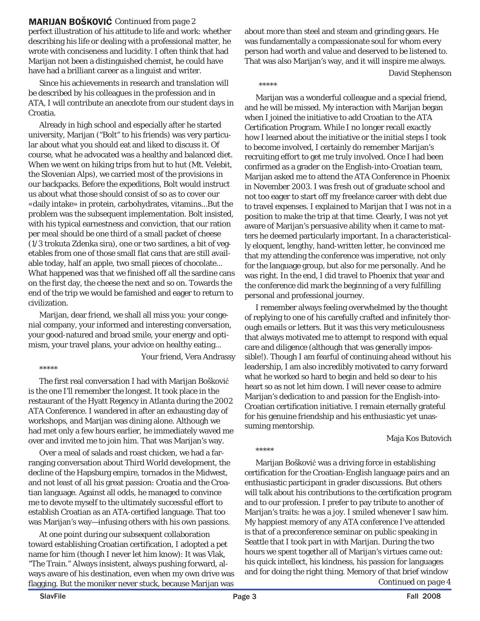### MARIJAN BOŠKOVIĆ *Continued from page 2*

perfect illustration of his attitude to life and work: whether describing his life or dealing with a professional matter, he wrote with conciseness and lucidity. I often think that had Marijan not been a distinguished chemist, he could have have had a brilliant career as a linguist and writer.

Since his achievements in research and translation will be described by his colleagues in the profession and in ATA, I will contribute an anecdote from our student days in Croatia.

Already in high school and especially after he started university, Marijan ("Bolt" to his friends) was very particular about what you should eat and liked to discuss it. Of course, what he advocated was a healthy and balanced diet. When we went on hiking trips from hut to hut (Mt. Velebit, the Slovenian Alps), we carried most of the provisions in our backpacks. Before the expeditions, Bolt would instruct us about what those should consist of so as to cover our «daily intake» in protein, carbohydrates, vitamins...But the problem was the subsequent implementation. Bolt insisted, with his typical earnestness and conviction, that our ration per meal should be one third of a small packet of cheese (1/3 trokuta Zdenka sira), one or two sardines, a bit of vegetables from one of those small flat cans that are still available today, half an apple, two small pieces of chocolate... What happened was that we finished off all the sardine cans on the first day, the cheese the next and so on. Towards the end of the trip we would be famished and eager to return to civilization.

Marijan, dear friend, we shall all miss you: your congenial company, your informed and interesting conversation, your good-natured and broad smile, your energy and optimism, your travel plans, your advice on healthy eating...

Your friend, Vera Andrassy

\*\*\*\*\*

The first real conversation I had with Marijan Bošković is the one I'll remember the longest. It took place in the restaurant of the Hyatt Regency in Atlanta during the 2002 ATA Conference. I wandered in after an exhausting day of workshops, and Marijan was dining alone. Although we had met only a few hours earlier, he immediately waved me over and invited me to join him. That was Marijan's way.

Over a meal of salads and roast chicken, we had a farranging conversation about Third World development, the decline of the Hapsburg empire, tornados in the Midwest, and not least of all his great passion: Croatia and the Croatian language. Against all odds, he managed to convince me to devote myself to the ultimately successful effort to establish Croatian as an ATA-certified language. That too was Marijan's way—infusing others with his own passions.

At one point during our subsequent collaboration toward establishing Croatian certification, I adopted a pet name for him (though I never let him know): It was Vlak, "The Train." Always insistent, always pushing forward, always aware of his destination, even when my own drive was flagging. But the moniker never stuck, because Marijan was

about more than steel and steam and grinding gears. He was fundamentally a compassionate soul for whom every person had worth and value and deserved to be listened to. That was also Marijan's way, and it will inspire me always.

David Stephenson

\*\*\*\*\*

Marijan was a wonderful colleague and a special friend, and he will be missed. My interaction with Marijan began when I joined the initiative to add Croatian to the ATA Certification Program. While I no longer recall exactly how I learned about the initiative or the initial steps I took to become involved, I certainly do remember Marijan's recruiting effort to get me truly involved. Once I had been confirmed as a grader on the English-into-Croatian team, Marijan asked me to attend the ATA Conference in Phoenix in November 2003. I was fresh out of graduate school and not too eager to start off my freelance career with debt due to travel expenses. I explained to Marijan that I was not in a position to make the trip at that time. Clearly, I was not yet aware of Marijan's persuasive ability when it came to matters he deemed particularly important. In a characteristically eloquent, lengthy, hand-written letter, he convinced me that my attending the conference was imperative, not only for the language group, but also for me personally. And he was right. In the end, I did travel to Phoenix that year and the conference did mark the beginning of a very fulfilling personal and professional journey.

I remember always feeling overwhelmed by the thought of replying to one of his carefully crafted and infinitely thorough emails or letters. But it was this very meticulousness that always motivated me to attempt to respond with equal care and diligence (although that was generally impossible!). Though I am fearful of continuing ahead without his leadership, I am also incredibly motivated to carry forward what he worked so hard to begin and held so dear to his heart so as not let him down. I will never cease to admire Marijan's dedication to and passion for the English-into-Croatian certification initiative. I remain eternally grateful for his genuine friendship and his enthusiastic yet unassuming mentorship.

Maja Kos Butovich

*Continued on page 4* Marijan Bošković was a driving force in establishing certification for the Croatian-English language pairs and an enthusiastic participant in grader discussions. But others will talk about his contributions to the certification program and to our profession. I prefer to pay tribute to another of Marijan's traits: he was a joy. I smiled whenever I saw him. My happiest memory of any ATA conference I've attended is that of a preconference seminar on public speaking in Seattle that I took part in with Marijan. During the two hours we spent together all of Marijan's virtues came out: his quick intellect, his kindness, his passion for languages and for doing the right thing. Memory of that brief window

\*\*\*\*\*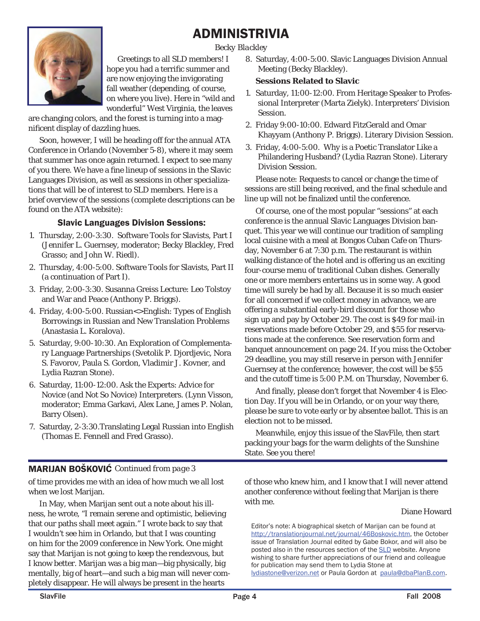### ADMINISTRIVIA



*Becky Blackley*

Greetings to all SLD members! I hope you had a terrific summer and are now enjoying the invigorating fall weather (depending, of course, on where you live). Here in "wild and wonderful" West Virginia, the leaves

are changing colors, and the forest is turning into a magnificent display of dazzling hues.

Soon, however, I will be heading off for the annual ATA Conference in Orlando (November 5-8), where it may seem that summer has once again returned. I expect to see many of you there. We have a fine lineup of sessions in the Slavic Languages Division, as well as sessions in other specializations that will be of interest to SLD members. Here is a brief overview of the sessions (complete descriptions can be found on the ATA website):

### Slavic Languages Division Sessions:

- 1. Thursday, 2:00-3:30. Software Tools for Slavists, Part I (Jennifer L. Guernsey, moderator; Becky Blackley, Fred Grasso; and John W. Riedl).
- 2. Thursday, 4:00-5:00. Software Tools for Slavists, Part II (a continuation of Part I).
- 3. Friday, 2:00-3:30. Susanna Greiss Lecture: Leo Tolstoy and War and Peace (Anthony P. Briggs).
- 4. Friday, 4:00-5:00. Russian<>English: Types of English Borrowings in Russian and New Translation Problems (Anastasia L. Koralova).
- 5. Saturday, 9:00-10:30. An Exploration of Complementary Language Partnerships (Svetolik P. Djordjevic, Nora S. Favorov, Paula S. Gordon, Vladimir J. Kovner, and Lydia Razran Stone).
- 6. Saturday, 11:00-12:00. Ask the Experts: Advice for Novice (and Not So Novice) Interpreters. (Lynn Visson, moderator; Emma Garkavi, Alex Lane, James P. Nolan, Barry Olsen).
- 7. Saturday, 2-3:30.Translating Legal Russian into English (Thomas E. Fennell and Fred Grasso).

### MARIJAN BOŠKOVIĆ *Continued from page 3*

of time provides me with an idea of how much we all lost when we lost Marijan.

In May, when Marijan sent out a note about his illness, he wrote, "I remain serene and optimistic, believing that our paths shall meet again." I wrote back to say that I wouldn't see him in Orlando, but that I was counting on him for the 2009 conference in New York. One might say that Marijan is not going to keep the rendezvous, but I know better. Marijan was a big man—big physically, big mentally, big of heart—and such a big man will never completely disappear. He will always be present in the hearts

8. Saturday, 4:00-5:00. Slavic Languages Division Annual Meeting (Becky Blackley).

### **Sessions Related to Slavic**

- 1. Saturday, 11:00-12:00. From Heritage Speaker to Professional Interpreter (Marta Zielyk). Interpreters' Division Session.
- 2. Friday 9:00-10:00. Edward FitzGerald and Omar Khayyam (Anthony P. Briggs). Literary Division Session.
- 3. Friday, 4:00-5:00. Why is a Poetic Translator Like a Philandering Husband? (Lydia Razran Stone). Literary Division Session.

Please note: Requests to cancel or change the time of sessions are still being received, and the final schedule and line up will not be finalized until the conference.

Of course, one of the most popular "sessions" at each conference is the annual Slavic Languages Division banquet. This year we will continue our tradition of sampling local cuisine with a meal at Bongos Cuban Cafe on Thursday, November 6 at 7:30 p.m. The restaurant is within walking distance of the hotel and is offering us an exciting four-course menu of traditional Cuban dishes. Generally one or more members entertains us in some way. A good time will surely be had by all. Because it is so much easier for all concerned if we collect money in advance, we are offering a substantial early-bird discount for those who sign up and pay by October 29. The cost is \$49 for mail-in reservations made before October 29, and \$55 for reservations made at the conference. See reservation form and banquet announcement on page 24. If you miss the October 29 deadline, you may still reserve in person with Jennifer Guernsey at the conference; however, the cost will be \$55 and the cutoff time is 5:00 P.M. on Thursday, November 6.

And finally, please don't forget that November 4 is Election Day. If you will be in Orlando, or on your way there, please be sure to vote early or by absentee ballot. This is an election not to be missed.

Meanwhile, enjoy this issue of the SlavFile, then start packing your bags for the warm delights of the Sunshine State. See you there!

of those who knew him, and I know that I will never attend another conference without feeling that Marijan is there with me.

### Diane Howard

Editor's note: A biographical sketch of Marijan can be found at http://translationjournal.net/journal/46Boskovic.htm, the October issue of Translation Journal edited by Gabe Bokor, and will also be posted also in the resources section of th[e SLD](http://www.ata-divisions.org/SLD/resources.htm) website. Anyone wishing to share further appreciations of our friend and colleague for publication may send them to Lydia Stone at lydiastone@verizon.net or Paula Gordon at paula@dbaPlanB.com.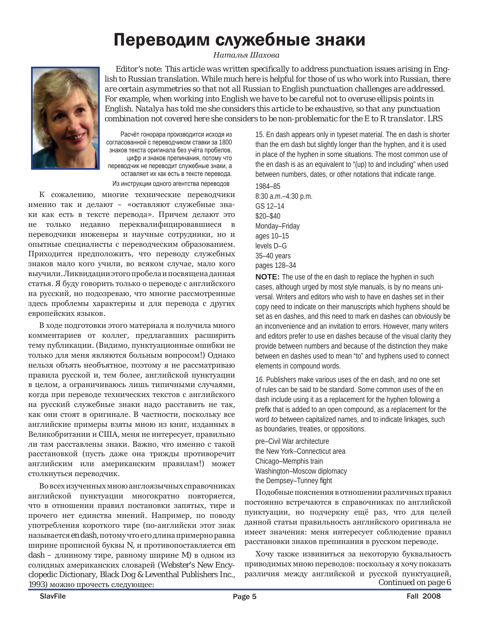## Переводим служебные знаки

*Наталья Шахова*



Расчёт гонорара производится исходя из согласованной с переводчиком ставки за 1800 знаков текста оригинала без учёта пробелов, цифр и знаков препинания, потому что переводчик не переводит служебные знаки, а оставляет их как есть в тексте перевода.

Из инструкции одного агентства переводов

К сожалению, многие технические переводчики именно так и делают – «оставляют служебные знаки как есть в тексте перевода». Причем делают это не только недавно переквалифицировавшиеся в переводчики инженеры и научные сотрудники, но и опытные специалисты с переводческим образованием. Приходится предположить, что переводу служебных знаков мало кого учили, во всяком случае, мало кого выучили. Ликвидацииэтогопробелаипосвященаданная статья. Я буду говорить только о переводе с английского на русский, но подозреваю, что многие рассмотренные здесь проблемы характерны и для перевода с других европейских языков.

В ходе подготовки этого материала я получила много комментариев от коллег, предлагавших расширить тему публикации. (Видимо, пунктуационные ошибки не только для меня являются больным вопросом!) Однако нельзя объять необъятное, поэтому я не рассматриваю правила русской и, тем более, английской пунктуации в целом, а ограничиваюсь лишь типичными случаями, когда при переводе технических текстов с английского на русский служебные знаки надо расставить не так, как они стоят в оригинале. В частности, поскольку все английские примеры взяты мною из книг, изданных в Великобритании и США, меня не интересует, правильно ли там расставлены знаки. Важно, что именно с такой расстановкой (пусть даже она трижды противоречит английским или американским правилам!) может столкнуться переводчик.

Вовсехизученныхмноюанглоязычных справочниках английской пунктуации многократно повторяется, что в отношении правил постановки запятых, тире и прочего нет единства мнений. Например, по поводу употребления короткого тире (по-английски этот знак называется en dash, потомучтоегодлинапримерноравна ширине прописной буквы N, и противопоставляется em dash – длинному тире, равному ширине M) в одном из солидных американских словарей (Webster's New Encyclopedic Dictionary, Black Dog & Leventhal Publishers Inc., 1993) можно прочесть следующее:

15. En dash appears only in typeset material. The en dash is shorter than the em dash but slightly longer than the hyphen, and it is used in place of the hyphen in some situations. The most common use of the en dash is as an equivalent to "(up) to and including" when used between numbers, dates, or other notations that indicate range.

1984–85 8:30 a.m.–4:30 p.m. GS 12–14 \$20–\$40 Monday–Friday ages 10–15 levels D–G 35–40 years pages 128–34

*Editor's note: This article was written specifi cally to address punctuation issues arising in English to Russian translation. While much here is helpful for those of us who work into Russian, there are certain asymmetries so that not all Russian to English punctuation challenges are addressed. For example, when working into English we have to be careful not to overuse ellipsis points in English. Natalya has told me she considers this article to be exhaustive, so that any punctuation combination not covered here she considers to be non-problematic for the E to R translator. LRS*

> **NOTE:** The use of the en dash to replace the hyphen in such cases, although urged by most style manuals, is by no means universal. Writers and editors who wish to have en dashes set in their copy need to indicate on their manuscripts which hyphens should be set as en dashes, and this need to mark en dashes can obviously be an inconvenience and an invitation to errors. However, many writers and editors prefer to use en dashes because of the visual clarity they provide between numbers and because of the distinction they make between en dashes used to mean "to" and hyphens used to connect elements in compound words.

16. Publishers make various uses of the en dash, and no one set of rules can be said to be standard. Some common uses of the en dash include using it as a replacement for the hyphen following a prefix that is added to an open compound, as a replacement for the word *to* between capitalized names, and to indicate linkages, such as boundaries, treaties, or oppositions.

pre–Civil War architecture the New York–Connecticut area Chicago–Memphis train Washington–Moscow diplomacy the Dempsey-Tunney fight

Подобные пояснения в отношении различных правил постоянно встречаются в справочниках по английской пунктуации, но подчеркну ещё раз, что для целей данной статьи правильность английского оригинала не имеет значения: меня интересует соблюдение правил расстановки знаков препинания в русском переводе.

*Continued on page 6* Хочу также извиниться за некоторую буквальность приводимых мною переводов: поскольку я хочу показать различия между английской и русской пунктуацией,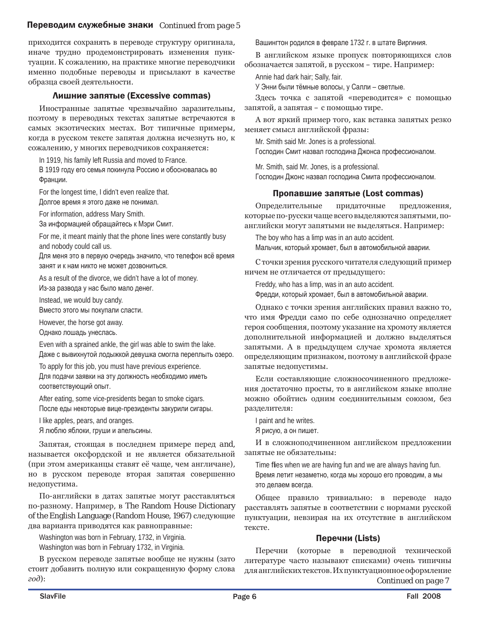приходится сохранять в переводе структуру оригинала, иначе трудно продемонстрировать изменения пунктуации. К сожалению, на практике многие переводчики именно подобные переводы и присылают в качестве образца своей деятельности.

### Лишние запятые (Excessive commas)

Иностранные запятые чрезвычайно заразительны, поэтому в переводных текстах запятые встречаются в самых экзотических местах. Вот типичные примеры, когда в русском тексте запятая должна исчезнуть но, к сожалению, у многих переводчиков сохраняется:

In 1919, his family left Russia and moved to France.

В 1919 году его семья покинула Россию и обосновалась во Франции.

For the longest time, I didn't even realize that.

Долгое время я этого даже не понимал.

For information, address Mary Smith.

За информацией обращайтесь к Мэри Смит.

For me, it meant mainly that the phone lines were constantly busy and nobody could call us.

Для меня это в первую очередь значило, что телефон всё время занят и к нам никто не может дозвониться.

As a result of the divorce, we didn't have a lot of money. Из-за развода у нас было мало денег.

Instead, we would buy candy.

Вместо этого мы покупали сласти.

However, the horse got away.

Однако лошадь унеслась.

Even with a sprained ankle, the girl was able to swim the lake. Даже с вывихнутой лодыжкой девушка смогла переплыть озеро.

To apply for this job, you must have previous experience.

Для подачи заявки на эту должность необходимо иметь соответствующий опыт.

After eating, some vice-presidents began to smoke cigars. После еды некоторые вице-президенты закурили сигары.

I like apples, pears, and oranges.

Я люблю яблоки, груши и апельсины.

Запятая, стоящая в последнем примере перед *and*, называется оксфордской и не является обязательной (при этом американцы ставят её чаще, чем англичане), но в русском переводе вторая запятая совершенно недопустима.

По-английски в датах запятые могут расставляться по-разному. Например, в The Random House Dictionary of the English Language (Random House, 1967) следующие два варианта приводятся как равноправные:

Washington was born in February, 1732, in Virginia. Washington was born in February 1732, in Virginia.

В русском переводе запятые вообще не нужны (зато стоит добавить полную или сокращенную форму слова *год*):

Вашингтон родился в феврале 1732 г. в штате Виргиния.

В английском языке пропуск повторяющихся слов обозначается запятой, в русском – тире. Например:

Annie had dark hair; Sally, fair.

У Энни были тёмные волосы, у Салли – светлые.

Здесь точка с запятой «переводится» с помощью запятой, а запятая – с помощью тире.

А вот яркий пример того, как вставка запятых резко меняет смысл английской фразы:

Mr. Smith said Mr. Jones is a professional. Господин Смит назвал господина Джонса профессионалом.

Mr. Smith, said Mr. Jones, is a professional. Господин Джонс назвал господина Смита профессионалом.

### Пропавшие запятые (Lost commas)

Определительные придаточные предложения, которыепо-русскичаще всего выделяютсязапятыми, поанглийски могут запятыми не выделяться. Например:

The boy who has a limp was in an auto accident. Мальчик, который хромает, был в автомобильной аварии.

С точки зрения русского читателя следующий пример ничем не отличается от предыдущего:

Freddy, who has a limp, was in an auto accident. Фредди, который хромает, был в автомобильной аварии.

Однако с точки зрения английских правил важно то, что имя Фредди само по себе однозначно определяет героя сообщения, поэтому указание на хромоту является дополнительной информацией и должно выделяться запятыми. А в предыдущем случае хромота является определяющим признаком, поэтому в английской фразе запятые недопустимы.

Если составляющие сложносочиненного предложения достаточно просты, то в английском языке вполне можно обойтись одним соединительным союзом, без разделителя:

I paint and he writes.

Я рисую, а он пишет.

И в сложноподчиненном английском предложении запятые не обязательны:

Time flies when we are having fun and we are always having fun. Время летит незаметно, когда мы хорошо его проводим, а мы это делаем всегда.

Общее правило тривиально: в переводе надо расставлять запятые в соответствии с нормами русской пунктуации, невзирая на их отсутствие в английском тексте.

### Перечни (Lists)

*Continued on page 7* Перечни (которые в переводной технической литературе часто называют списками) очень типичны дляанглийскихтекстов. Ихпунктуационноеоформление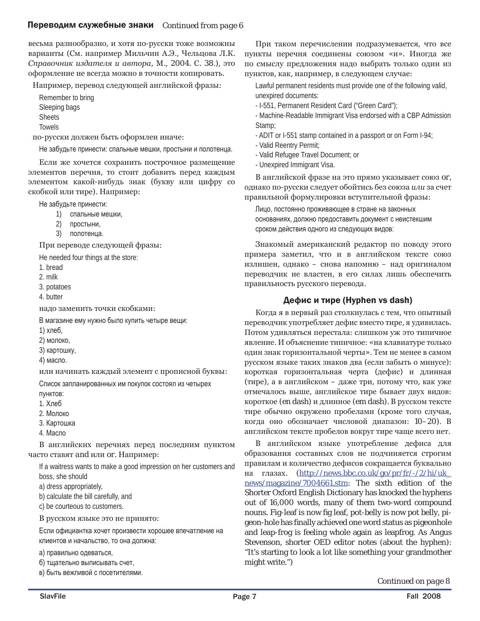весьма разнообразно, и хотя по-русски тоже возможны варианты (См. например Мильчин А.Э., Чельцова Л.К. *Справочник издателя и автора*, М., 2004. С. 38.), это оформление не всегда можно в точности копировать.

Например, перевод следующей английской фразы:

- Remember to bring Sleeping bags Sheets
- Towels

по-русски должен быть оформлен иначе:

Не забудьте принести: спальные мешки, простыни и полотенца.

Если же хочется сохранить построчное размещение элементов перечня, то стоит добавить перед каждым элементом какой-нибудь знак (букву или цифру со скобкой или тире). Например:

#### Не забудьте принести:

- 1) спальные мешки,
- 2) простыни,
- 3) полотенца.

При переводе следующей фразы:

He needed four things at the store:

- 1. bread
- 2. milk
- 3. potatoes
- 4. butter

надо заменить точки скобками:

В магазине ему нужно было купить четыре вещи:

- 1) хлеб,
- 2) молоко,
- 3) картошку,

4) масло.

или начинать каждый элемент с прописной буквы:

Список запланированных им покупок состоял из четырех пунктов:

- 1. Хлеб
- 2. Молоко
- 3. Картошка
- 4. Масло

В английских перечнях перед последним пунктом часто ставят *and* или *or*. Например:

If a waitress wants to make a good impression on her customers and boss, she should

a) dress appropriately,

b) calculate the bill carefully, and

c) be courteous to customers.

В русском языке это не принято:

Если официантка хочет произвести хорошее впечатление на клиентов и начальство, то она должна:

а) правильно одеваться,

б) тщательно выписывать счет,

в) быть вежливой с посетителями.

При таком перечислении подразумевается, что все пункты перечня соединены союзом «и». Иногда же по смыслу предложения надо выбрать только один из пунктов, как, например, в следующем случае:

Lawful permanent residents must provide one of the following valid, unexpired documents:

- I-551, Permanent Resident Card ("Green Card");
- Machine-Readable Immigrant Visa endorsed with a CBP Admission Stamp;
- ADIT or I-551 stamp contained in a passport or on Form I-94;
- Valid Reentry Permit;
- Valid Refugee Travel Document; or
- Unexpired Immigrant Visa.

В английской фразе на это прямо указывает союз *or*, однако по-русски следует обойтись без союза *или* за счет правильной формулировки вступительной фразы:

Лицо, постоянно проживающее в стране на законных основаниях, должно предоставить документ с неистекшим сроком действия одного из следующих видов:

Знакомый американский редактор по поводу этого примера заметил, что и в английском тексте союз излишен, однако – снова напомню – над оригиналом переводчик не властен, в его силах лишь обеспечить правильность русского перевода.

### Дефис и тире (Hyphen vs dash)

Когда я в первый раз столкнулась с тем, что опытный переводчик употребляет дефис вместо тире, я удивилась. Потом удивляться перестала: слишком уж это типичное явление. И объяснение типичное: «на клавиатуре только один знак горизонтальной черты». Тем не менее в самом русском языке таких знаков два (если забыть о минусе): короткая горизонтальная черта (дефис) и длинная (тире), а в английском – даже три, потому что, как уже отмечалось выше, английское тире бывает двух видов: короткое (en dash) и длинное (em dash). В русском тексте тире обычно окружено пробелами (кроме того случая, когда оно обозначает числовой диапазон: 10–20). В английском тексте пробелов вокруг тире чаще всего нет.

В английском языке употребление дефиса для образования составных слов не подчиняется строгим правилам и количество дефисов сокращается буквально на глазах. (http://news.bbc.co.uk/go/pr/fr/-/2/hi/uk\_ news/magazine/7004661.stm: The sixth edition of the Shorter Oxford English Dictionary has knocked the hyphens out of 16,000 words, many of them two-word compound nouns. Fig-leaf is now fig leaf, pot-belly is now pot belly, pigeon-hole has finally achieved one word status as pigeonhole and leap-frog is feeling whole again as leapfrog. As Angus Stevenson, shorter OED editor notes (about the hyphen): "It's starting to look a lot like something your grandmother might write.")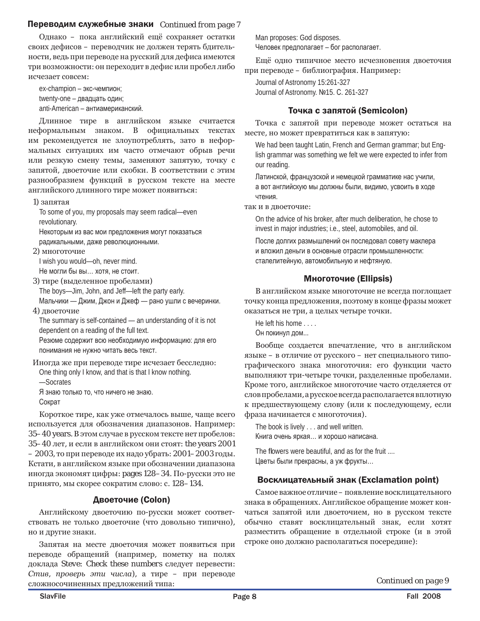Однако – пока английский ещё сохраняет остатки своих дефисов – переводчик не должен терять бдительности, ведь при переводе на русский для дефиса имеются три возможности: он переходит в дефис или пробел либо исчезает совсем:

ex-champion – экс-чемпион; twenty-one – двадцать один; anti-American – антиамериканский.

Длинное тире в английском языке считается неформальным знаком. В официальных текстах им рекомендуется не злоупотреблять, зато в неформальных ситуациях им часто отмечают обрыв речи или резкую смену темы, заменяют запятую, точку с запятой, двоеточие или скобки. В соответствии с этим разнообразием функций в русском тексте на месте английского длинного тире может появиться:

1) запятая

To some of you, my proposals may seem radical—even revolutionary.

Некоторым из вас мои предложения могут показаться радикальными, даже революционными.

2) многоточие

I wish you would—oh, never mind.

Не могли бы вы… хотя, не стоит.

3) тире (выделенное пробелами) The boys—Jim, John, and Jeff—left the party early. Мальчики — Джим, Джон и Джеф — рано ушли с вечеринки.

4) двоеточие

The summary is self-contained — an understanding of it is not dependent on a reading of the full text.

Резюме содержит всю необходимую информацию: для его понимания не нужно читать весь текст.

Иногда же при переводе тире исчезает бесследно:

One thing only I know, and that is that I know nothing. —Socrates

Я знаю только то, что ничего не знаю.

Сократ

Короткое тире, как уже отмечалось выше, чаще всего используется для обозначения диапазонов. Например: 35–40 years. В этом случае в русском тексте нет пробелов: 35–40 лет, и если в английском они стоят: the years 2001 – 2003, то при переводе их надо убрать: 2001–2003 годы. Кстати, в английском языке при обозначении диапазона иногда экономят цифры: pages 128–34. По-русски это не принято, мы скорее сократим слово: с. 128–134.

### Двоеточие (Colon)

Английскому двоеточию по-русски может соответствовать не только двоеточие (что довольно типично), но и другие знаки.

Запятая на месте двоеточия может появиться при переводе обращений (например, пометку на полях доклада *Steve: Check these numbers* следует перевести: *Стив, проверь эти числа*), а тире – при переводе сложносочиненных предложений типа:

Man proposes: God disposes. Человек предполагает – бог располагает.

Ещё одно типичное место исчезновения двоеточия при переводе – библиография. Например:

Journal of Astronomy 15:261-327 Journal of Astronomy. №15. С. 261-327

### Точка с запятой (Semicolon)

Точка с запятой при переводе может остаться на месте, но может превратиться как в запятую:

We had been taught Latin, French and German grammar; but English grammar was something we felt we were expected to infer from our reading.

Латинской, французской и немецкой грамматике нас учили, а вот английскую мы должны были, видимо, усвоить в ходе чтения.

так и в двоеточие:

On the advice of his broker, after much deliberation, he chose to invest in major industries; i.e., steel, automobiles, and oil.

После долгих размышлений он последовал совету маклера и вложил деньги в основные отрасли промышленности: сталелитейную, автомобильную и нефтяную.

### Многоточие (Ellipsis)

В английском языке многоточие не всегда поглощает точку конца предложения, поэтому в конце фразы может оказаться не три, а целых четыре точки.

He left his home . . . . Он покинул дом...

Вообще создается впечатление, что в английском языке – в отличие от русского – нет специального типографического знака многоточия: его функции часто выполняют три-четыре точки, разделенные пробелами. Кроме того, английское многоточие часто отделяется от словпробелами, арусскоевсегдарасполагаетсявплотную к предшествующему слову (или к последующему, если фраза начинается с многоточия).

The book is lively . . . and well written. Книга очень яркая… и хорошо написана.

The flowers were beautiful, and as for the fruit .... Цветы были прекрасны, а уж фрукты…

### Восклицательный знак (Exclamation point)

Самое важноеотличие – появление восклицательного знака в обращениях. Английское обращение может кончаться запятой или двоеточием, но в русском тексте обычно ставят восклицательный знак, если хотят разместить обращение в отдельной строке (и в этой строке оно должно располагаться посередине):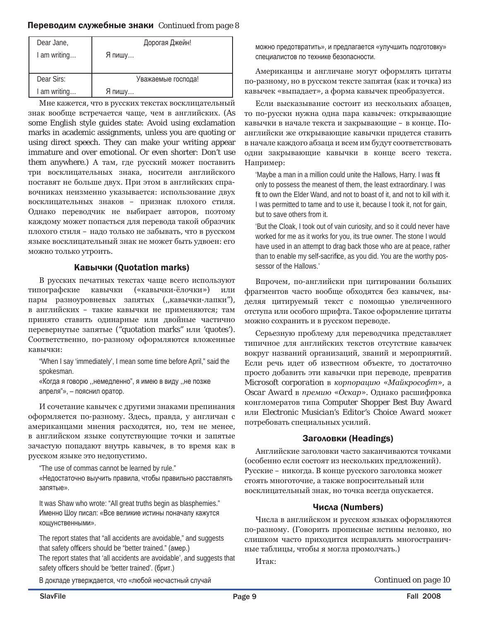| Dear Jane,   | Дорогая Джейн!     |
|--------------|--------------------|
| I am writing | Я пишу             |
|              |                    |
| Dear Sirs:   | Уважаемые господа! |
| I am writing | Я пишу             |

Мне кажется, что в русских текстах восклицательный знак вообще встречается чаще, чем в английских. (As some English style guides state: Avoid using exclamation marks in academic assignments, unless you are quoting or using direct speech. They can make your writing appear immature and over emotional. Or even shorter: Don't use them anywhere.) А там, где русский может поставить три восклицательных знака, носители английского поставят не больше двух. При этом в английских справочниках неизменно указывается: использование двух восклицательных знаков – признак плохого стиля. Однако переводчик не выбирает авторов, поэтому каждому может попасться для перевода такой образчик плохого стиля – надо только не забывать, что в русском языке восклицательный знак не может быть удвоен: его можно только утроить.

### Кавычки (Quotation marks)

В русских печатных текстах чаще всего используют типографские кавычки («кавычки-ёлочки») или пары разноуровневых запятых (,,кавычки-лапки"), в английских – такие кавычки не применяются; там принято ставить одинарные или двойные частично перевернутые запятые ("quotation marks" или 'quotes'). Соответственно, по-разному оформляются вложенные кавычки:

"When I say 'immediately', I mean some time before April," said the spokesman.

«Когда я говорю ,,немедленно", я имею в виду ,,не позже апреля"», – пояснил оратор.

И сочетание кавычек с другими знаками препинания оформляется по-разному. Здесь, правда, у англичан с американцами мнения расходятся, но, тем не менее, в английском языке сопутствующие точки и запятые зачастую попадают внутрь кавычек, в то время как в русском языке это недопустимо.

"The use of commas cannot be learned by rule."

«Недостаточно выучить правила, чтобы правильно расставлять запятые».

It was Shaw who wrote: "All great truths begin as blasphemies." Именно Шоу писал: «Все великие истины поначалу кажутся кощунственными».

The report states that "all accidents are avoidable," and suggests that safety officers should be "better trained." (амер.)

The report states that 'all accidents are avoidable', and suggests that safety officers should be 'better trained'. (брит.)

В докладе утверждается, что «любой несчастный случай

можно предотвратить», и предлагается «улучшить подготовку» специалистов по технике безопасности.

Американцы и англичане могут оформлять цитаты по-разному, но в русском тексте запятая (как и точка) из кавычек «выпадает», а форма кавычек преобразуется.

Если высказывание состоит из нескольких абзацев, то по-русски нужна одна пара кавычек: открывающие кавычки в начале текста и закрывающие – в конце. Поанглийски же открывающие кавычки придется ставить в начале каждого абзаца и всем им будут соответствовать одни закрывающие кавычки в конце всего текста. Например:

'Maybe a man in a million could unite the Hallows, Harry. I was fit only to possess the meanest of them, the least extraordinary. I was fit to own the Elder Wand, and not to boast of it, and not to kill with it. I was permitted to tame and to use it, because I took it, not for gain, but to save others from it.

'But the Cloak, I took out of vain curiosity, and so it could never have worked for me as it works for you, its true owner. The stone I would have used in an attempt to drag back those who are at peace, rather than to enable my self-sacrifice, as you did. You are the worthy possessor of the Hallows.'

Впрочем, по-английски при цитировании больших фрагментов часто вообще обходятся без кавычек, выделяя цитируемый текст с помощью увеличенного отступа или особого шрифта. Такое оформление цитаты можно сохранить и в русском переводе.

Серьезную проблему для переводчика представляет типичное для английских текстов отсутствие кавычек вокруг названий организаций, званий и мероприятий. Если речь идет об известном объекте, то достаточно просто добавить эти кавычки при переводе, превратив *Microsoft corporation* в *корпорацию «Майкрософт»*, а *Oscar Award* в *премию «Оскар»*. Однако расшифровка конгломератов типа *Computer Shopper Best Buy Award* или *Electronic Musician's Editor's Choice Award* может потребовать специальных усилий.

### Заголовки (Headings)

Английские заголовки часто заканчиваются точками (особенно если состоят из нескольких предложений). Русские – никогда. В конце русского заголовка может стоять многоточие, а также вопросительный или восклицательный знак, но точка всегда опускается.

### Числа (Numbers)

Числа в английском и русском языках оформляются по-разному. (Говорить прописные истины неловко, но слишком часто приходится исправлять многостраничные таблицы, чтобы я могла промолчать.)

Итак: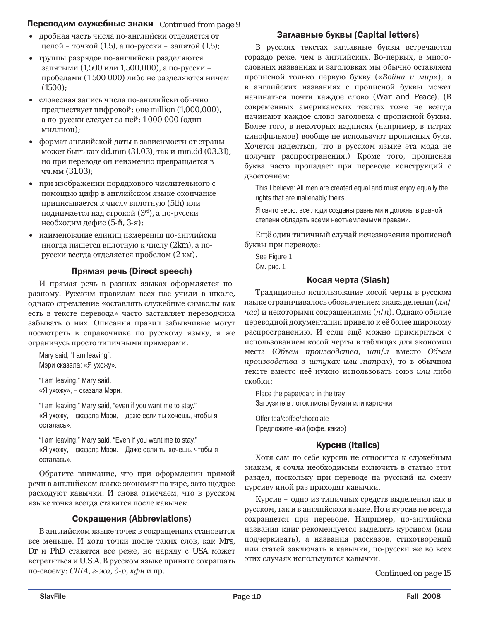- дробная часть числа по-английски отделяется от целой – точкой (1.5), а по-русски – запятой (1,5);
- группы разрядов по-английски разделяются запятыми (1,500 или 1,500,000), а по-русски – пробелами (1 500 000) либо не разделяются ничем (1500);
- словесная запись числа по-английски обычно предшествует цифровой: one million (1,000,000), а по-русски следует за ней: 1 000 000 (один миллион);
- формат английской даты в зависимости от страны может быть как dd.mm (31.03), так и mm.dd (03.31), но при переводе он неизменно превращается в чч.мм (31.03);
- при изображении порядкового числительного с помощью цифр в английском языке окончание приписывается к числу вплотную (5th) или поднимается над строкой (3rd), а по-русски необходим дефис (5-й, 3-я);
- наименование единиц измерения по-английски иногда пишется вплотную к числу (2km), а порусски всегда отделяется пробелом (2 км).

### Прямая речь (Direct speech)

И прямая речь в разных языках оформляется поразному. Русским правилам всех нас учили в школе, однако стремление «оставлять служебные символы как есть в тексте перевода» часто заставляет переводчика забывать о них. Описания правил забывчивые могут посмотреть в справочнике по русскому языку, я же ограничусь просто типичными примерами.

Mary said, "I am leaving". Мэри сказала: «Я ухожу».

"I am leaving," Mary said. «Я ухожу», – сказала Мэри.

"I am leaving," Mary said, "even if you want me to stay." «Я ухожу, – сказала Мэри, – даже если ты хочешь, чтобы я осталась».

"I am leaving," Mary said, "Even if you want me to stay." «Я ухожу, – сказала Мэри. – Даже если ты хочешь, чтобы я осталась».

Обратите внимание, что при оформлении прямой речи в английском языке экономят на тире, зато щедрее расходуют кавычки. И снова отмечаем, что в русском языке точка всегда ставится после кавычек.

### Сокращения (Abbreviations)

В английском языке точек в сокращениях становится все меньше. И хотя точки после таких слов, как *Mrs*, *Dr* и *PhD* ставятся все реже, но наряду с *USA* может встретиться и *U.S.A.* В русском языке принято сокращать по-своему: *США*, *г-жа*, *д-р*, *кфн* и пр.

### Заглавные буквы (Capital letters)

В русских текстах заглавные буквы встречаются гораздо реже, чем в английских. Во-первых, в многословных названиях и заголовках мы обычно оставляем прописной только первую букву (*«Война и мир»*), а в английских названиях с прописной буквы может начинаться почти каждое слово (*War and Peace*). (В современных американских текстах тоже не всегда начинают каждое слово заголовка с прописной буквы. Более того, в некоторых надписях (например, в титрах кинофильмов) вообще не используют прописных букв. Хочется надеяться, что в русском языке эта мода не получит распространения.) Кроме того, прописная буква часто пропадает при переводе конструкций с двоеточием:

This I believe: All men are created equal and must enjoy equally the rights that are inalienably theirs.

Я свято верю: все люди созданы равными и должны в равной степени обладать всеми неотъемлемыми правами.

Ещё один типичный случай исчезновения прописной буквы при переводе:

See Figure 1 См. рис. 1

### Косая черта (Slash)

Традиционно использование косой черты в русском языке ограничивалось обозначением знака деления (*км/ час*) и некоторыми сокращениями (*п/п*). Однако обилие переводной документации привело к её более широкому распространению. И если ещё можно примириться с использованием косой черты в таблицах для экономии места (*Объем производства, шт/л* вместо *Объем производства в штуках или литрах*), то в обычном тексте вместо неё нужно использовать союз *или* либо скобки:

Place the paper/card in the tray Загрузите в лоток листы бумаги или карточки

Offer tea/coffee/chocolate Предложите чай (кофе, какао)

### Курсив (Italics)

Хотя сам по себе курсив не относится к служебным знакам, я сочла необходимым включить в статью этот раздел, поскольку при переводе на русский на смену курсиву иной раз приходят кавычки.

Курсив – одно из типичных средств выделения как в русском, так и в английском языке. Но и курсив не всегда сохраняется при переводе. Например, по-английски названия книг рекомендуется выделять курсивом (или подчеркивать), а названия рассказов, стихотворений или статей заключать в кавычки, по-русски же во всех этих случаях используются кавычки.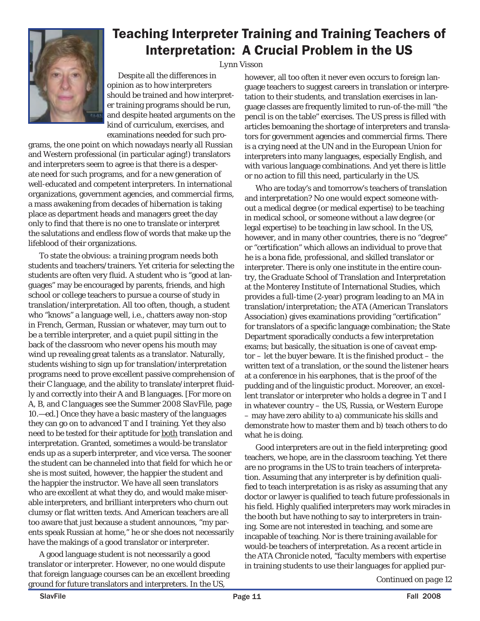

### Teaching Interpreter Training and Training Teachers of Interpretation: A Crucial Problem in the US

 *Lynn Visson*

Despite all the differences in opinion as to how interpreters should be trained and how interpreter training programs should be run, and despite heated arguments on the kind of curriculum, exercises, and examinations needed for such pro-

grams, the one point on which nowadays nearly all Russian and Western professional (in particular aging!) translators and interpreters seem to agree is that there is a desperate need for such programs, and for a new generation of well-educated and competent interpreters. In international organizations, government agencies, and commercial firms, a mass awakening from decades of hibernation is taking place as department heads and managers greet the day only to find that there is no one to translate or interpret the salutations and endless flow of words that make up the lifeblood of their organizations.

To state the obvious: a training program needs both students and teachers/trainers. Yet criteria for selecting the students are often very fluid. A student who is "good at languages" may be encouraged by parents, friends, and high school or college teachers to pursue a course of study in translation/interpretation. All too often, though, a student who "knows" a language well, i.e., chatters away non-stop in French, German, Russian or whatever, may turn out to be a terrible interpreter, and a quiet pupil sitting in the back of the classroom who never opens his mouth may wind up revealing great talents as a translator. Naturally, students wishing to sign up for translation/interpretation programs need to prove excellent passive comprehension of their C language, and the ability to translate/interpret fluidly and correctly into their A and B languages. [For more on A, B, and C languages see the Summer 2008 *SlavFile*, page 10.—ed.] Once they have a basic mastery of the languages they can go on to advanced T and I training. Yet they also need to be tested for their aptitude for both translation and interpretation. Granted, sometimes a would-be translator ends up as a superb interpreter, and vice versa. The sooner the student can be channeled into that field for which he or she is most suited, however, the happier the student and the happier the instructor. We have all seen translators who are excellent at what they do, and would make miserable interpreters, and brilliant interpreters who churn out clumsy or flat written texts. And American teachers are all too aware that just because a student announces, "my parents speak Russian at home," he or she does not necessarily have the makings of a good translator or interpreter.

A good language student is not necessarily a good translator or interpreter. However, no one would dispute that foreign language courses can be an excellent breeding ground for future translators and interpreters. In the US,

however, all too often it never even occurs to foreign language teachers to suggest careers in translation or interpretation to their students, and translation exercises in language classes are frequently limited to run-of-the-mill "the pencil is on the table" exercises. The US press is filled with articles bemoaning the shortage of interpreters and translators for government agencies and commercial firms. There is a crying need at the UN and in the European Union for interpreters into many languages, especially English, and with various language combinations. And yet there is little or no action to fill this need, particularly in the US.

Who are today's and tomorrow's teachers of translation and interpretation? No one would expect someone without a medical degree (or medical expertise) to be teaching in medical school, or someone without a law degree (or legal expertise) to be teaching in law school. In the US, however, and in many other countries, there is no "degree" or "certification" which allows an individual to prove that he is a bona fide, professional, and skilled translator or interpreter. There is only one institute in the entire country, the Graduate School of Translation and Interpretation at the Monterey Institute of International Studies, which provides a full-time (2-year) program leading to an MA in translation/interpretation; the ATA (American Translators Association) gives examinations providing "certification" for translators of a specific language combination; the State Department sporadically conducts a few interpretation exams; but basically, the situation is one of *caveat emp* $tor$  – let the buyer beware. It is the finished product – the written text of a translation, or the sound the listener hears at a conference in his earphones, that is the proof of the pudding and of the linguistic product. Moreover, an excellent translator or interpreter who holds a degree in T and I in whatever country – the US, Russia, or Western Europe – may have zero ability to a) communicate his skills and demonstrate how to master them and b) teach others to do what he is doing.

Good interpreters are out in the field interpreting; good teachers, we hope, are in the classroom teaching. Yet there are no programs in the US to train teachers of interpretation. Assuming that any interpreter is by definition qualified to teach interpretation is as risky as assuming that any doctor or lawyer is qualified to teach future professionals in his field. Highly qualified interpreters may work miracles in the booth but have nothing to say to interpreters in training. Some are not interested in teaching, and some are incapable of teaching. Nor is there training available for would-be teachers of interpretation. As a recent article in the ATA *Chronicle* noted, "faculty members with expertise in training students to use their languages for applied pur-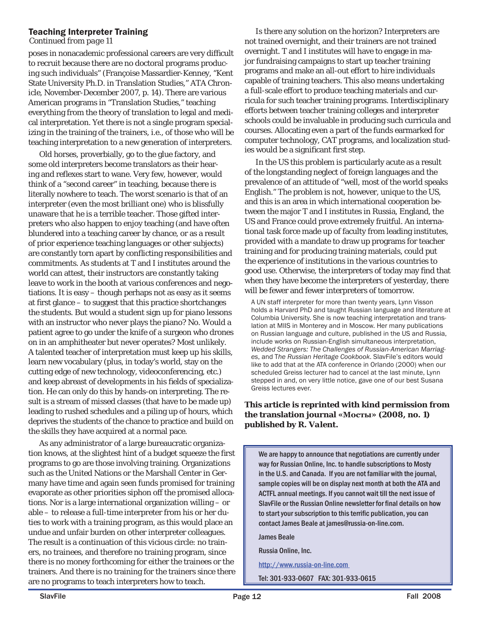### Teaching Interpreter Training

### *Continued from page 11*

poses in nonacademic professional careers are very difficult to recruit because there are no doctoral programs producing such individuals" (Françoise Massardier-Kenney, "Kent State University Ph.D. in Translation Studies," ATA *Chronicle*, November-December 2007, p. 14). There are various American programs in "Translation Studies," teaching everything from the theory of translation to legal and medical interpretation. Yet there is not a single program specializing in the training of the trainers, i.e., of those who will be teaching interpretation to a new generation of interpreters.

Old horses, proverbially, go to the glue factory, and some old interpreters become translators as their hearing and reflexes start to wane. Very few, however, would think of a "second career" in teaching, because there is literally nowhere to teach. The worst scenario is that of an interpreter (even the most brilliant one) who is blissfully unaware that he is a terrible teacher. Those gifted interpreters who also happen to enjoy teaching (and have often blundered into a teaching career by chance, or as a result of prior experience teaching languages or other subjects) are constantly torn apart by conflicting responsibilities and commitments. As students at T and I institutes around the world can attest, their instructors are constantly taking leave to work in the booth at various conferences and negotiations. It is easy – though perhaps not as easy as it seems at first glance  $-$  to suggest that this practice shortchanges the students. But would a student sign up for piano lessons with an instructor who never plays the piano? No. Would a patient agree to go under the knife of a surgeon who drones on in an amphitheater but never operates? Most unlikely. A talented teacher of interpretation must keep up his skills, learn new vocabulary (plus, in today's world, stay on the cutting edge of new technology, videoconferencing, etc.) and keep abreast of developments in his fields of specialization. He can only do this by hands-on interpreting. The result is a stream of missed classes (that have to be made up) leading to rushed schedules and a piling up of hours, which deprives the students of the chance to practice and build on the skills they have acquired at a normal pace.

As any administrator of a large bureaucratic organization knows, at the slightest hint of a budget squeeze the first programs to go are those involving training. Organizations such as the United Nations or the Marshall Center in Germany have time and again seen funds promised for training evaporate as other priorities siphon off the promised allocations. Nor is a large international organization willing – or able – to release a full-time interpreter from his or her duties to work with a training program, as this would place an undue and unfair burden on other interpreter colleagues. The result is a continuation of this vicious circle: no trainers, no trainees, and therefore no training program, since there is no money forthcoming for either the trainees or the trainers. And there is no training for the trainers since there are no programs to teach interpreters how to teach.

Is there any solution on the horizon? Interpreters are not trained overnight, and their trainers are not trained overnight. T and I institutes will have to engage in major fundraising campaigns to start up teacher training programs and make an all-out effort to hire individuals capable of training teachers. This also means undertaking a full-scale effort to produce teaching materials and curricula for such teacher training programs. Interdisciplinary efforts between teacher training colleges and interpreter schools could be invaluable in producing such curricula and courses. Allocating even a part of the funds earmarked for computer technology, CAT programs, and localization studies would be a significant first step.

In the US this problem is particularly acute as a result of the longstanding neglect of foreign languages and the prevalence of an attitude of "well, most of the world speaks English." The problem is not, however, unique to the US, and this is an area in which international cooperation between the major T and I institutes in Russia, England, the US and France could prove extremely fruitful. An international task force made up of faculty from leading institutes, provided with a mandate to draw up programs for teacher training and for producing training materials, could put the experience of institutions in the various countries to good use. Otherwise, the interpreters of today may find that when they have become the interpreters of yesterday, there will be fewer and fewer interpreters of tomorrow.

A UN staff interpreter for more than twenty years, Lynn Visson holds a Harvard PhD and taught Russian language and literature at Columbia University. She is now teaching interpretation and translation at MIIS in Monterey and in Moscow. Her many publications on Russian language and culture, published in the US and Russia, include works on Russian-English simultaneous interpretation, *Wedded Strangers: The Challenges of Russian-American Marriages*, and T*he Russian Heritage Cookbook*. SlavFile's editors would like to add that at the ATA conference in Orlando (2000) when our scheduled Greiss lecturer had to cancel at the last minute, Lynn stepped in and, on very little notice, gave one of our best Susana Greiss lectures ever.

### **This article is reprinted with kind permission from the translation journal «Мосты» (2008, no. 1) published by** *R. Valent***.**

We are happy to announce that negotiations are currently under way for Russian Online, Inc. to handle subscriptions to Mosty in the U.S. and Canada. If you are not familiar with the journal, sample copies will be on display next month at both the ATA and ACTFL annual meetings. If you cannot wait till the next issue of SlavFile or the Russian Online newsletter for final details on how to start your subscription to this terrific publication, you can contact James Beale at james@russia-on-line.com.

James Beale

Russia Online, Inc.

http://www.russia-on-line.com

Tel: 301-933-0607 FAX: 301-933-0615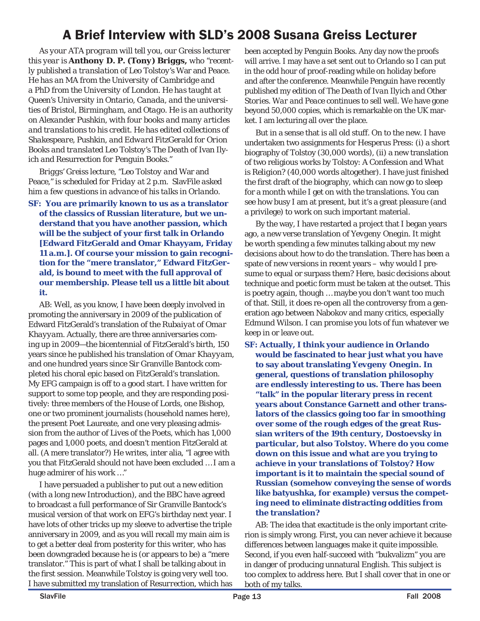### A Brief Interview with SLD's 2008 Susana Greiss Lecturer

*As your ATA program will tell you, our Greiss lecturer this year is Anthony D. P. (Tony) Briggs, who "recently published a translation of Leo Tolstoy's* War and Peace*. He has an MA from the University of Cambridge and a PhD from the University of London. He has taught at Queen's University in Ontario, Canada, and the universities of Bristol, Birmingham, and Otago. He is an authority on Alexander Pushkin, with four books and many articles and translations to his credit. He has edited collections of Shakespeare, Pushkin, and Edward FitzGerald for Orion Books and translated Leo Tolstoy's* The Death of Ivan Ilyich *and* Resurrection *for Penguin Books."* 

*Briggs' Greiss lecture, "Leo Tolstoy and* War and Peace,*" is scheduled for Friday at 2 p.m.* SlavFile *asked him a few questions in advance of his talks in Orlando.*

**SF: You are primarily known to us as a translator of the classics of Russian literature, but we understand that you have another passion, which will be the subject of your first talk in Orlando [Edward FitzGerald and Omar Khayyam, Friday 11 a.m.]. Of course your mission to gain recognition for the "mere translator," Edward FitzGerald, is bound to meet with the full approval of our membership. Please tell us a little bit about it.**

AB: Well, as you know, I have been deeply involved in promoting the anniversary in 2009 of the publication of Edward FitzGerald's translation of the *Rubaiyat of Omar Khayyam.* Actually, there are three anniversaries coming up in 2009—the bicentennial of FitzGerald's birth, 150 years since he published his translation of *Omar Khayyam*, and one hundred years since Sir Granville Bantock completed his choral epic based on FitzGerald's translation. My EFG campaign is off to a good start. I have written for support to some top people, and they are responding positively: three members of the House of Lords, one Bishop, one or two prominent journalists (household names here), the present Poet Laureate, and one very pleasing admission from the author of *Lives of the Poets,* which has 1,000 pages and 1,000 poets, and doesn't mention FitzGerald at all. (A mere translator?) He writes, inter alia, "I agree with you that FitzGerald should not have been excluded … I am a huge admirer of his work …"

I have persuaded a publisher to put out a new edition (with a long new Introduction), and the BBC have agreed to broadcast a full performance of Sir Granville Bantock's musical version of that work on EFG's birthday next year. I have lots of other tricks up my sleeve to advertise the triple anniversary in 2009, and as you will recall my main aim is to get a better deal from posterity for this writer, who has been downgraded because he is (or appears to be) a "mere translator." This is part of what I shall be talking about in the first session. Meanwhile Tolstoy is going very well too. I have submitted my translation of *Resurrection*, which has

been accepted by Penguin Books. Any day now the proofs will arrive. I may have a set sent out to Orlando so I can put in the odd hour of proof-reading while on holiday before and after the conference. Meanwhile Penguin have recently published my edition of *The Death of Ivan Ilyich and Other Stories*. *War and Peace* continues to sell well. We have gone beyond 50,000 copies, which is remarkable on the UK market. I am lecturing all over the place.

But in a sense that is all old stuff. On to the new. I have undertaken two assignments for Hesperus Press: (i) a short biography of Tolstoy (30,000 words), (ii) a new translation of two religious works by Tolstoy: *A Confession* and *What is Religion?* (40,000 words altogether). I have just finished the first draft of the biography, which can now go to sleep for a month while I get on with the translations. You can see how busy I am at present, but it's a great pleasure (and a privilege) to work on such important material.

By the way, I have restarted a project that I began years ago, a new verse translation of *Yevgeny Onegin*. It might be worth spending a few minutes talking about my new decisions about how to do the translation. There has been a spate of new versions in recent years – why would I presume to equal or surpass them? Here, basic decisions about technique and poetic form must be taken at the outset. This is poetry again, though … maybe you don't want too much of that. Still, it does re-open all the controversy from a generation ago between Nabokov and many critics, especially Edmund Wilson. I can promise you lots of fun whatever we keep in or leave out.

**SF: Actually, I think your audience in Orlando would be fascinated to hear just what you have to say about translating** *Yevgeny Onegin***. In general, questions of translation philosophy are endlessly interesting to us. There has been "talk" in the popular literary press in recent years about Constance Garnett and other translators of the classics going too far in smoothing over some of the rough edges of the great Russian writers of the 19th century, Dostoevsky in particular, but also Tolstoy. Where do you come down on this issue and what are you trying to achieve in your translations of Tolstoy? How important is it to maintain the special sound of Russian (somehow conveying the sense of words like batyushka, for example) versus the competing need to eliminate distracting oddities from the translation?** 

AB: The idea that exactitude is the only important criterion is simply wrong. First, you can never achieve it because differences between languages make it quite impossible. Second, if you even half-succeed with "bukvalizm" you are in danger of producing unnatural English. This subject is too complex to address here. But I shall cover that in one or both of my talks.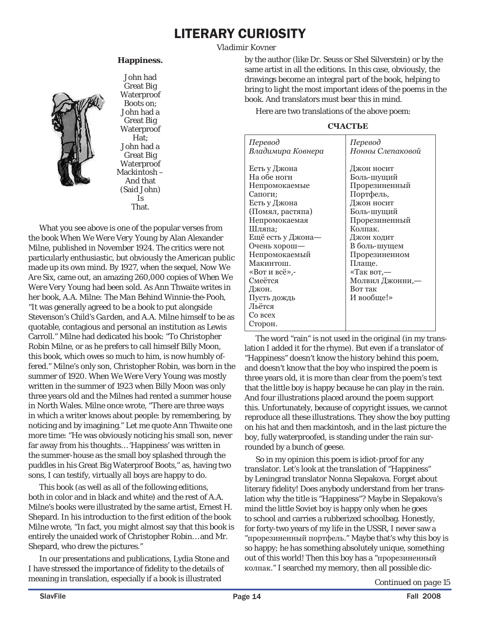### LITERARY CURIOSITY

*Vladimir Kovner*

### **Happiness.**

John had Great Big **Waterproof** Boots on; John had a Great Big **Waterproof** Hat; John had a Great Big **Waterproof** Mackintosh – And that (Said John) Is That.

What you see above is one of the popular verses from the book *When We Were Very Young* by Alan Alexander Milne, published in November 1924. The critics were not particularly enthusiastic, but obviously the American public made up its own mind. By 1927, when the sequel, *Now We Are Six*, came out, an amazing 260,000 copies of *When We Were Very Young* had been sold. As Ann Thwaite writes in her book, *A.A. Milne: The Man Behind Winnie-the-Pooh*, "It was generally agreed to be a book to put alongside Stevenson's *Child's Garden*, and A.A. Milne himself to be as quotable, contagious and personal an institution as Lewis Carroll." Milne had dedicated his book: "To Christopher Robin Milne, or as he prefers to call himself Billy Moon, this book, which owes so much to him, is now humbly offered." Milne's only son, Christopher Robin, was born in the summer of 1920. *When We Were Very Young* was mostly written in the summer of 1923 when Billy Moon was only three years old and the Milnes had rented a summer house in North Wales. Milne once wrote, "There are three ways in which a writer knows about people: by remembering, by noticing and by imagining." Let me quote Ann Thwaite one more time: "He was obviously noticing his small son, never far away from his thoughts… 'Happiness' was written in the summer-house as the small boy splashed through the puddles in his Great Big Waterproof Boots," as, having two sons, I can testify, virtually all boys are happy to do.

This book (as well as all of the following editions, both in color and in black and white) and the rest of A.A. Milne's books were illustrated by the same artist, Ernest H. Shepard. In his introduction to the first edition of the book Milne wrote, "In fact, you might almost say that this book is entirely the unaided work of Christopher Robin… and Mr. Shepard, who drew the pictures."

In our presentations and publications, Lydia Stone and I have stressed the importance of fidelity to the details of meaning in translation, especially if a book is illustrated

by the author (like Dr. Seuss or Shel Silverstein) or by the same artist in all the editions. In this case, obviously, the drawings become an integral part of the book, helping to bring to light the most important ideas of the poems in the book. And translators must bear this in mind.

Here are two translations of the above poem:

|  | 'ЧАС'ТЬЕ |
|--|----------|
|  |          |

| Перевод           | Перевод          |
|-------------------|------------------|
| Владимира Ковнера | Нонны Слепаковой |
| Есть у Джона      | Джон носит       |
| На обе ноги       | Боль-шущий       |
| Непромокаемые     | Прорезиненный    |
| Сапоги:           | Портфель,        |
| Есть у Джона      | Джон носит       |
| (Помял, растяпа)  | Боль-шущий       |
| Непромокаемая     | Прорезиненный    |
| Шляпа;            | Колпак.          |
| Ещё есть у Джона- | Джон ходит       |
| Очень хорош-      | В боль-шущем     |
| Непромокаемый     | Прорезиненном    |
| Макинтош.         | Плаще.           |
| «Вот и всё»,-     | «Так вот,-       |
| Смеётся           | Молвил Джонни,—  |
| Джон.             | Вот так          |
| Пусть дождь       | И вообще!»       |
| Льётся<br>Со всех |                  |
| Сторон.           |                  |

The word "rain" is not used in the original (in my translation I added it for the rhyme). But even if a translator of "Happiness" doesn't know the history behind this poem, and doesn't know that the boy who inspired the poem is three years old, it is more than clear from the poem's text that the little boy is happy because he can play in the rain. And four illustrations placed around the poem support this. Unfortunately, because of copyright issues, we cannot reproduce all these illustrations. They show the boy putting on his hat and then mackintosh, and in the last picture the boy, fully waterproofed, is standing under the rain surrounded by a bunch of geese.

So in my opinion this poem is idiot-proof for any translator. Let's look at the translation of "Happiness" by Leningrad translator Nonna Slepakova. Forget about literary fidelity! Does anybody understand from her translation why the title is "Happiness"? Maybe in Slepakova's mind the little Soviet boy is happy only when he goes to school and carries a rubberized schoolbag. Honestly, for forty-two years of my life in the USSR, I never saw a "прорезиненный портфель." Maybe that's why this boy is so happy; he has something absolutely unique, something out of this world! Then this boy has a "прорезиненный колпак." I searched my memory, then all possible dic-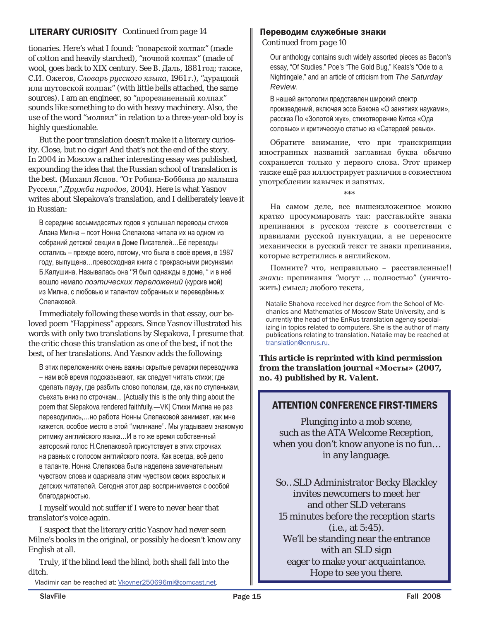### LITERARY CURIOSITY *Continued from page 14*

tionaries. Here's what I found: "поварской колпак" (made of cotton and heavily starched), "ночной колпак" (made of wool, goes back to XIX century. See В. Даль, 1881 год; также, С.И. Ожегов, *Словарь русского языка*, 1961 г.), "дурацкий или шутовской колпак" (with little bells attached, the same sources). I am an engineer, so "прорезиненный колпак" sounds like something to do with heavy machinery. Also, the use of the word "молвил" in relation to a three-year-old boy is highly questionable.

But the poor translation doesn't make it a literary curiosity. Close, but no cigar! And that's not the end of the story. In 2004 in Moscow a rather interesting essay was published, expounding the idea that the Russian school of translation is the best. (Михаил Яснов. "От Робина-Боббина до малыша Русселя," *Дружба народов*, 2004). Here is what Yasnov writes about Slepakova's translation, and I deliberately leave it in Russian:

В середине восьмидесятых годов я услышал переводы стихов Алана Милна – поэт Нонна Слепакова читала их на одном из собраний детской секции в Доме Писателей…Её переводы остались – прежде всего, потому, что была в своё время, в 1987 году, выпущена…превосходная книга с прекрасными рисунками Б.Калушина. Называлась она ''Я был однажды в доме, " и в неё вошло немало *поэтических переложений* (курсив мой) из Милна, с любовью и талантом собранных и переведённых Слепаковой.

Immediately following these words in that essay, our beloved poem "Happiness" appears. Since Yasnov illustrated his words with only two translations by Slepakova, I presume that the critic chose this translation as one of the best, if not the best, of her translations. And Yasnov adds the following:

В этих переложениях очень важны скрытые ремарки переводчика – нам всё время подсказывают, как следует читать стихи; где сделать паузу, где разбить слово пополам, где, как по ступенькам, съехать вниз по строчкам... [Actually this is the only thing about the poem that Slepakova rendered faithfully.—VK] Стихи Милна не раз переводились,…но работа Нонны Слепаковой занимает, как мне кажется, особое место в этой ''милниане''. Мы угадываем знакомую ритмику английского языка…И в то же время собственный авторский голос Н.Слепаковой присутствует в этих строчках на равных с голосом английского поэта. Как всегда, всё дело в таланте. Нонна Слепакова была наделена замечательным чувством слова и одаривала этим чувством своих взрослых и детских читателей. Сегодня этот дар воспринимается с особой благодарностью.

I myself would not suffer if I were to never hear that translator's voice again.

I suspect that the literary critic Yasnov had never seen Milne's books in the original, or possibly he doesn't know any English at all.

Truly, if the blind lead the blind, both shall fall into the ditch.

Vladimir can be reached at: Vkovner250696mi@comcast.net.

### Переводим служебные знаки

*Continued from page 10*

\*\*\*

Our anthology contains such widely assorted pieces as Bacon's essay, "Of Studies," Poe's "The Gold Bug," Keats's "Ode to a Nightingale," and an article of criticism from *The Saturday Review*.

В нашей антологии представлен широкий спектр произведений, включая эссе Бэкона «О занятиях науками», рассказ По «Золотой жук», стихотворение Китса «Ода соловью» и критическую статью из «Сатердей ревью».

Обратите внимание, что при транскрипции иностранных названий заглавная буква обычно сохраняется только у первого слова. Этот пример также ещё раз иллюстрирует различия в совместном употреблении кавычек и запятых.

На самом деле, все вышеизложенное можно кратко просуммировать так: расставляйте знаки препинания в русском тексте в соответствии с правилами русской пунктуации, а не переносите механически в русский текст те знаки препинания, которые встретились в английском.

Помните? что, неправильно – расставленные!! *знаки*: препинания "могут … полностью" (уничтожить) смысл; любого текста,

Natalie Shahova received her degree from the School of Mechanics and Mathematics of Moscow State University, and is currently the head of the EnRus translation agency specializing in topics related to computers. She is the author of many publications relating to translation. Natalie may be reached at translation@enrus.ru.

**This article is reprinted with kind permission from the translation journal «Мосты» (2007, no. 4) published by** *R. Valent***.**

### ATTENTION CONFERENCE FIRST-TIMERS

Plunging into a mob scene, such as the ATA Welcome Reception, when you don't know anyone is no fun… in any language.

So…SLD Administrator Becky Blackley invites newcomers to meet her and other SLD veterans 15 minutes before the reception starts (i.e., at 5:45). We'll be standing near the entrance with an SLD sign eager to make your acquaintance. Hope to see you there.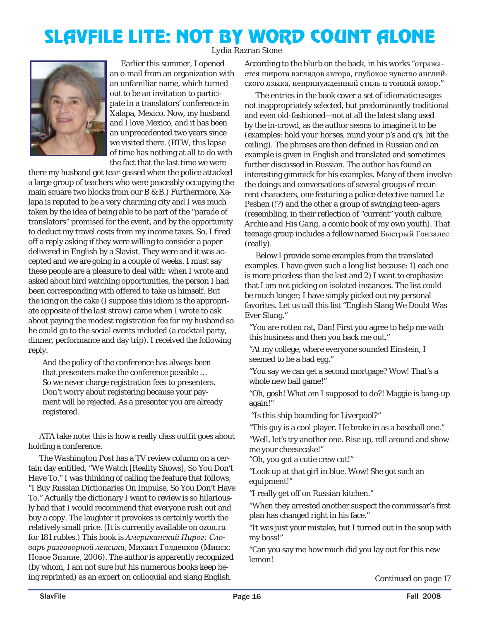## SLAVFILE LITE: NOT BY WORD COUNT ALONE

*Lydia Razran Stone*



Earlier this summer, I opened an e-mail from an organization with an unfamiliar name, which turned out to be an invitation to participate in a translators' conference in Xalapa, Mexico. Now, my husband and I love Mexico, and it has been an unprecedented two years since we visited there. (BTW, this lapse of time has nothing at all to do with the fact that the last time we were

there my husband got tear-gassed when the police attacked a large group of teachers who were peaceably occupying the main square two blocks from our B & B.) Furthermore, Xalapa is reputed to be a very charming city and I was much taken by the idea of being able to be part of the "parade of translators" promised for the event, and by the opportunity to deduct my travel costs from my income taxes. So, I fired off a reply asking if they were willing to consider a paper delivered in English by a Slavist. They were and it was accepted and we are going in a couple of weeks. I must say these people are a pleasure to deal with: when I wrote and asked about bird watching opportunities, the person I had been corresponding with offered to take us himself. But the icing on the cake (I suppose this idiom is the appropriate opposite of *the last straw*) came when I wrote to ask about paying the modest registration fee for my husband so he could go to the social events included (a cocktail party, dinner, performance and day trip). I received the following reply.

And the policy of the conference has always been that presenters make the conference possible … So we never charge registration fees to presenters. Don't worry about registering because your payment will be rejected. As a presenter you are already registered.

ATA take note: this is how a really class outfit goes about holding a conference.

*The Washington Post* has a TV review column on a certain day entitled, "We Watch [Reality Shows], So You Don't Have To." I was thinking of calling the feature that follows, "I Buy Russian Dictionaries On Impulse, So You Don't Have To." Actually the dictionary I want to review is so hilariously bad that I would recommend that everyone rush out and buy a copy. The laughter it provokes is certainly worth the relatively small price. (It is currently available on ozon.ru for 181 rubles.) This book is *Американский Пирог: Словарь разговорной лексики*, Михаил Голденков (Минск: Новое Знание, 2006). Тhe author is apparently recognized (by whom, I am not sure but his numerous books keep being reprinted) as an expert on colloquial and slang English.

According to the blurb on the back, in his works "отражается широта взглядов автора, глубокое чувство английского языка, непринужденный стиль и тонкий юмор."

The entries in the book cover a set of idiomatic usages not inappropriately selected, but predominantly traditional and even old-fashioned—not at all the latest slang used by the in-crowd, as the author seems to imagine it to be (examples: *hold your horses, mind your p's and q's, hit the ceiling*). The phrases are then defined in Russian and an example is given in English and translated and sometimes further discussed in Russian. The author has found an interesting gimmick for his examples. Many of them involve the doings and conversations of several groups of recurrent characters, one featuring a police detective named Le Peshen (!?) and the other a group of swinging teen-agers (resembling, in their reflection of "current" youth culture, *Archie and His Gang*, a comic book of my own youth). That teenage group includes a fellow named Быстрый Гонзалес (really).

Below I provide some examples from the translated examples. I have given such a long list because: 1) each one is more priceless than the last and 2) I want to emphasize that I am not picking on isolated instances. The list could be much longer; I have simply picked out my personal favorites. Let us call this list "English Slang We Doubt Was Ever Slung."

"You are rotten rat, Dan! First you agree to help me with this business and then you back me out."

"At my college, where everyone sounded Einstein, I seemed to be a bad egg."

"You say we can get a second mortgage? Wow! That's a whole new ball game!"

"Oh, gosh! What am I supposed to do?! Maggie is bang-up again!"

"Is this ship bounding for Liverpool?"

"This guy is a cool player. He broke in as a baseball one."

"Well, let's try another one. Rise up, roll around and show me your cheesecake!"

"Oh, you got a cutie crew cut!"

"Look up at that girl in blue. Wow! She got such an equipment!"

"I really get off on Russian kitchen."

"When they arrested another suspect the commissar's first plan has changed right in his face."

"It was just your mistake, but I turned out in the soup with my boss!"

"Can you say me how much did you lay out for this new lemon!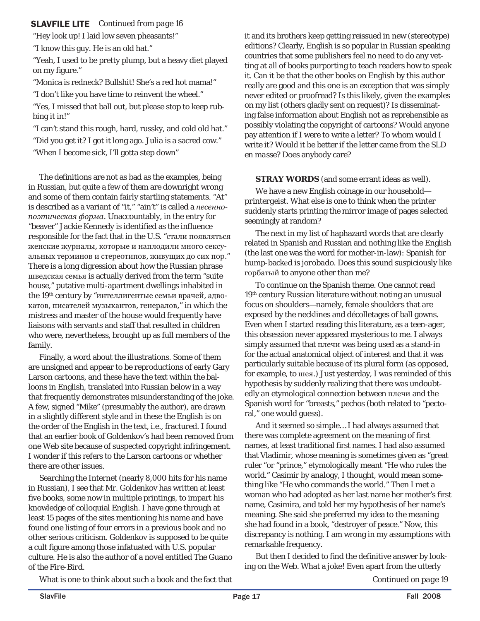### SLAVFILE LITE *Continued from page 16*

"Hey look up! I laid low seven pheasants!"

"I know this guy. He is an old hat."

"Yeah, I used to be pretty plump, but a heavy diet played on my figure."

"Monica is redneck? Bullshit! She's a red hot mama!"

"I don't like you have time to reinvent the wheel."

"Yes, I missed that ball out, but please stop to keep rubbing it in!"

"I can't stand this rough, hard, russky, and cold old hat."

"Did you get it? I got it long ago. Julia is a sacred cow."

"When I become sick, I'll gotta step down"

The definitions are not as bad as the examples, being in Russian, but quite a few of them are downright wrong and some of them contain fairly startling statements. "At" is described as a variant of "it," "ain't" is called a *песеннопоэтическая форма*. Unaccountably, in the entry for "beaver" Jackie Kennedy is identified as the influence responsible for the fact that in the U.S. "стали появляться женские журналы, которые и наплодили много сексуальных терминов и стереотипов, живущих до сих пор." There is a long digression about how the Russian phrase шведская семья is actually derived from the term "suite house," putative multi-apartment dwellings inhabited in the 19<sup>th</sup> century by "интеллигентые семьи врачей, адвокатов, писателей музыкантов, генералов," in which the mistress and master of the house would frequently have liaisons with servants and staff that resulted in children who were, nevertheless, brought up as full members of the family.

Finally, a word about the illustrations. Some of them are unsigned and appear to be reproductions of early Gary Larson cartoons, and these have the text within the balloons in English, translated into Russian below in a way that frequently demonstrates misunderstanding of the joke. A few, signed "Mike" (presumably the author), are drawn in a slightly different style and in these the English is on the order of the English in the text, i.e., fractured. I found that an earlier book of Goldenkov's had been removed from one Web site because of suspected copyright infringement. I wonder if this refers to the Larson cartoons or whether there are other issues.

Searching the Internet (nearly 8,000 hits for his name in Russian), I see that Mr. Goldenkov has written at least five books, some now in multiple printings, to impart his knowledge of colloquial English. I have gone through at least 15 pages of the sites mentioning his name and have found one listing of four errors in a previous book and no other serious criticism. Goldenkov is supposed to be quite a cult figure among those infatuated with U.S. popular culture. He is also the author of a novel entitled *The Guano of the Fire-Bird*.

What is one to think about such a book and the fact that

it and its brothers keep getting reissued in new (stereotype) editions? Clearly, English is so popular in Russian speaking countries that some publishers feel no need to do any vetting at all of books purporting to teach readers how to speak it*.* Can it be that the other books on English by this author really are good and this one is an exception that was simply never edited or proofread? Is this likely, given the examples on my list (others gladly sent on request)? Is disseminating false information about English not as reprehensible as possibly violating the copyright of cartoons? Would anyone pay attention if I were to write a letter? To whom would I write it? Would it be better if the letter came from the SLD *en masse*? Does anybody care?

#### **STRAY WORDS** (and some errant ideas as well).

We have a new English coinage in our household *printergeist*. What else is one to think when the printer suddenly starts printing the mirror image of pages selected seemingly at random?

The next in my list of haphazard words that are clearly related in Spanish and Russian and nothing like the English (the last one was the word for mother-in-law): Spanish for hump-backеd is *jorobado.* Does this sound suspiciously like горбатый to anyone other than me?

To continue on the Spanish theme. One cannot read 19th century Russian literature without noting an unusual focus on shoulders—namely, female shoulders that are exposed by the necklines and décolletages of ball gowns. Even when I started reading this literature, as a teen-ager, this obsession never appeared mysterious to me. I always simply assumed that плечи was being used as a stand-in for the actual anatomical object of interest and that it was particularly suitable because of its plural form (as opposed, for example, to шея.) Just yesterday, I was reminded of this hypothesis by suddenly realizing that there was undoubtedly an etymological connection between плечи and the Spanish word for "breasts," *pechos* (both related to "pectoral," one would guess).

And it seemed so simple… I had always assumed that there was complete agreement on the meaning of first names, at least traditional first names. I had also assumed that Vladimir, whose meaning is sometimes given as "great ruler "or "prince," etymologically meant "He who rules the world." Casimir by analogy, I thought, would mean something like "He who commands the world." Then I met a woman who had adopted as her last name her mother's first name, Casimira, and told her my hypothesis of her name's meaning. She said she preferred my idea to the meaning she had found in a book, "destroyer of peace." Now, this discrepancy is nothing. I am wrong in my assumptions with remarkable frequency.

But then I decided to find the definitive answer by looking on the Web. What a joke! Even apart from the utterly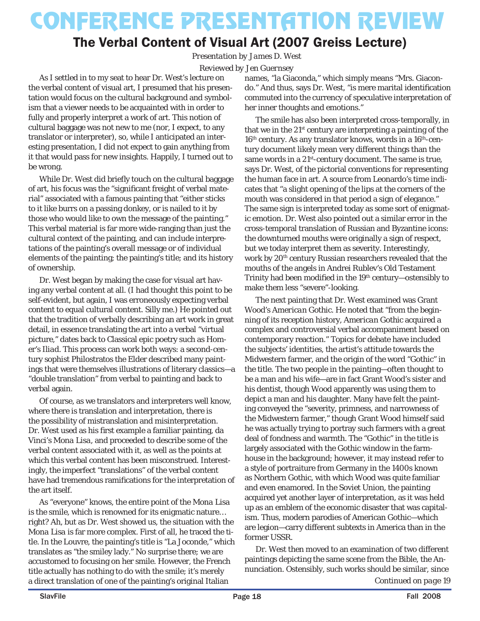## CONFERENCE PRESENTATION REVIEW

### The Verbal Content of Visual Art (2007 Greiss Lecture)

*Presentation by James D. West*

#### *Reviewed by Jen Guernsey*

As I settled in to my seat to hear Dr. West's lecture on the verbal content of visual art, I presumed that his presentation would focus on the cultural background and symbolism that a viewer needs to be acquainted with in order to fully and properly interpret a work of art. This notion of cultural baggage was not new to me (nor, I expect, to any translator or interpreter), so, while I anticipated an interesting presentation, I did not expect to gain anything from it that would pass for new insights. Happily, I turned out to be wrong.

While Dr. West did briefly touch on the cultural baggage of art, his focus was the "significant freight of verbal material" associated with a famous painting that "either sticks to it like burrs on a passing donkey, or is nailed to it by those who would like to own the message of the painting." This verbal material is far more wide-ranging than just the cultural context of the painting, and can include interpretations of the painting's overall message or of individual elements of the painting; the painting's title; and its history of ownership.

Dr. West began by making the case for visual art having any verbal content at all. (I had thought this point to be self-evident, but again, I was erroneously expecting verbal content to equal cultural content. Silly me.) He pointed out that the tradition of verbally describing an art work in great detail, in essence translating the art into a verbal "virtual picture," dates back to Classical epic poetry such as Homer's *Iliad*. This process can work both ways: a second-century sophist Philostratos the Elder described many paintings that were themselves illustrations of literary classics—a "double translation" from verbal to painting and back to verbal again.

Of course, as we translators and interpreters well know, where there is translation and interpretation, there is the possibility of mistranslation and misinterpretation. Dr. West used as his first example a familiar painting, da Vinci's *Mona Lisa*, and proceeded to describe some of the verbal content associated with it, as well as the points at which this verbal content has been misconstrued. Interestingly, the imperfect "translations" of the verbal content have had tremendous ramifications for the interpretation of the art itself.

As "everyone" knows, the entire point of the *Mona Lisa* is the smile, which is renowned for its enigmatic nature… right? Ah, but as Dr. West showed us, the situation with the *Mona Lisa* is far more complex. First of all, he traced the title. In the Louvre, the painting's title is "La Joconde," which translates as "the smiley lady." No surprise there; we are accustomed to focusing on her smile. However, the French title actually has nothing to do with the smile; it's merely a direct translation of one of the painting's original Italian

names, "la Giaconda," which simply means "Mrs. Giacondo." And thus, says Dr. West, "is mere marital identification commuted into the currency of speculative interpretation of her inner thoughts and emotions."

The smile has also been interpreted cross-temporally, in that we in the 21st century are interpreting a painting of the  $16<sup>th</sup>$  century. As any translator knows, words in a  $16<sup>th</sup>$ -century document likely mean very different things than the same words in a 21<sup>st</sup>-century document. The same is true, says Dr. West, of the pictorial conventions for representing the human face in art. A source from Leonardo's time indicates that "a slight opening of the lips at the corners of the mouth was considered in that period a sign of elegance." The same sign is interpreted today as some sort of enigmatic emotion. Dr. West also pointed out a similar error in the cross-temporal translation of Russian and Byzantine icons: the downturned mouths were originally a sign of respect, but we today interpret them as severity. Interestingly, work by 20<sup>th</sup> century Russian researchers revealed that the mouths of the angels in Andrei Rublev's Old Testament Trinity had been modified in the  $19<sup>th</sup>$  century—ostensibly to make them less "severe"-looking.

The next painting that Dr. West examined was Grant Wood's *American Gothic*. He noted that "from the beginning of its reception history, *American Gothic* acquired a complex and controversial verbal accompaniment based on contemporary reaction." Topics for debate have included the subjects' identities, the artist's attitude towards the Midwestern farmer, and the origin of the word "Gothic" in the title. The two people in the painting—often thought to be a man and his wife—are in fact Grant Wood's sister and his dentist, though Wood apparently was using them to depict a man and his daughter. Many have felt the painting conveyed the "severity, primness, and narrowness of the Midwestern farmer," though Grant Wood himself said he was actually trying to portray such farmers with a great deal of fondness and warmth. The "Gothic" in the title is largely associated with the Gothic window in the farmhouse in the background; however, it may instead refer to a style of portraiture from Germany in the 1400s known as Northern Gothic, with which Wood was quite familiar and even enamored. In the Soviet Union, the painting acquired yet another layer of interpretation, as it was held up as an emblem of the economic disaster that was capitalism. Thus, modern parodies of American Gothic—which are legion—carry different subtexts in America than in the former USSR.

Dr. West then moved to an examination of two different paintings depicting the same scene from the Bible, the Annunciation. Ostensibly, such works should be similar, since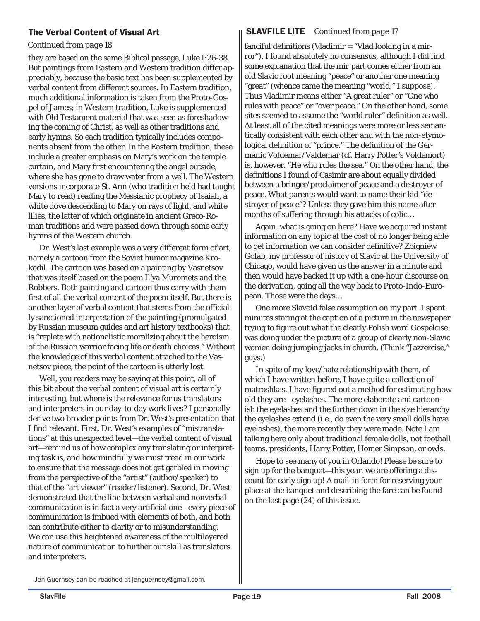### *Continued from page 18*

they are based on the same Biblical passage, Luke I:26-38. But paintings from Eastern and Western tradition differ appreciably, because the basic text has been supplemented by verbal content from different sources. In Eastern tradition, much additional information is taken from the Proto-Gospel of James; in Western tradition, Luke is supplemented with Old Testament material that was seen as foreshadowing the coming of Christ, as well as other traditions and early hymns. So each tradition typically includes components absent from the other. In the Eastern tradition, these include a greater emphasis on Mary's work on the temple curtain, and Mary first encountering the angel outside, where she has gone to draw water from a well. The Western versions incorporate St. Ann (who tradition held had taught Mary to read) reading the Messianic prophecy of Isaiah, a white dove descending to Mary on rays of light, and white lilies, the latter of which originate in ancient Greco-Roman traditions and were passed down through some early hymns of the Western church.

Dr. West's last example was a very different form of art, namely a cartoon from the Soviet humor magazine *Krokodil*. The cartoon was based on a painting by Vasnetsov that was itself based on the poem Il'ya Muromets and the Robbers. Both painting and cartoon thus carry with them first of all the verbal content of the poem itself. But there is another layer of verbal content that stems from the officially sanctioned interpretation of the painting (promulgated by Russian museum guides and art history textbooks) that is "replete with nationalistic moralizing about the heroism of the Russian warrior facing life or death choices." Without the knowledge of this verbal content attached to the Vasnetsov piece, the point of the cartoon is utterly lost.

Well, you readers may be saying at this point, all of this bit about the verbal content of visual art is certainly interesting, but where is the relevance for us translators and interpreters in our day-to-day work lives? I personally derive two broader points from Dr. West's presentation that I find relevant. First, Dr. West's examples of "mistranslations" at this unexpected level—the verbal content of visual art—remind us of how complex any translating or interpreting task is, and how mindfully we must tread in our work to ensure that the message does not get garbled in moving from the perspective of the "artist" (author/speaker) to that of the "art viewer" (reader/listener). Second, Dr. West demonstrated that the line between verbal and nonverbal communication is in fact a very artificial one—every piece of communication is imbued with elements of both, and both can contribute either to clarity or to misunderstanding. We can use this heightened awareness of the multilayered nature of communication to further our skill as translators and interpreters.

### The Verbal Content of Visual Art SLAVFILE LITE *Continued from page 17*

fanciful definitions (Vladimir  $=$  "Vlad looking in a mirror"), I found absolutely no consensus, although I did find some explanation that the *mir* part comes either from an old Slavic root meaning "peace" or another one meaning "great" (whence came the meaning "world," I suppose). Thus Vladimir means either "A great ruler" or "One who rules with peace" or "over peace." On the other hand, some sites seemed to assume the "world ruler" definition as well. At least all of the cited meanings were more or less semantically consistent with each other and with the non-etymological definition of "prince." The definition of the Germanic Voldemar/Valdemar (*cf*. Harry Potter's Voldemort) is, however, "He who rules the sea." On the other hand, the definitions I found of Casimir are about equally divided between a bringer/proclaimer of peace and a destroyer of peace. What parents would want to name their kid "destroyer of peace"? Unless they gave him this name after months of suffering through his attacks of colic…

Again. what is going on here? Have we acquired instant information on any topic at the cost of no longer being able to get information we can consider definitive? Zbigniew Golab, my professor of history of Slavic at the University of Chicago, would have given us the answer in a minute and then would have backed it up with a one-hour discourse on the derivation, going all the way back to Proto-Indo-European. Those were the days…

One more Slavoid false assumption on my part. I spent minutes staring at the caption of a picture in the newspaper trying to figure out what the clearly Polish word *Gospelcise* was doing under the picture of a group of clearly non-Slavic women doing jumping jacks in church. (Think "Jazzercise," guys.)

In spite of my love/hate relationship with them, of which I have written before, I have quite a collection of matroshkas. I have figured out a method for estimating how old they are—eyelashes. The more elaborate and cartoonish the eyelashes and the further down in the size hierarchy the eyelashes extend (i.e., do even the very small dolls have eyelashes), the more recently they were made. Note I am talking here only about traditional female dolls, not football teams, presidents, Harry Potter, Homer Simpson, or owls.

Hope to see many of you in Orlando! Please be sure to sign up for the banquet—this year, we are offering a discount for early sign up! A mail-in form for reserving your place at the banquet and describing the fare can be found on the last page (24) of this issue.

Jen Guernsey can be reached at jenguernsey@gmail.com.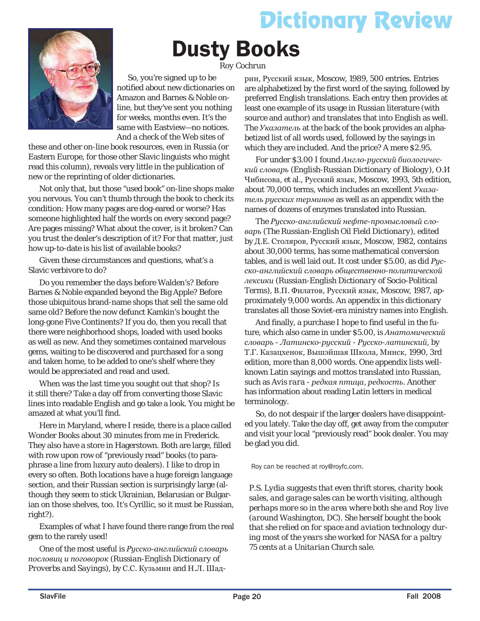## Dictionary Review



Dusty Books

*Roy Cochrun*

So, you're signed up to be notified about new dictionaries on Amazon and Barnes & Noble online, but they've sent you nothing for weeks, months even. It's the same with Eastview—no notices. And a check of the Web sites of

these and other on-line book resources, even in Russia (or Eastern Europe, for those other Slavic linguists who might read this column), reveals very little in the publication of new or the reprinting of older dictionaries.

Not only that, but those "used book" on-line shops make you nervous. You can't thumb through the book to check its condition: How many pages are dog-eared or worse? Has someone highlighted half the words on every second page? Are pages missing? What about the cover, is it broken? Can you trust the dealer's description of it? For that matter, just how up-to-date is his list of available books?

Given these circumstances and questions, what's a Slavic verbivore to do?

Do you remember the days before Walden's? Before Barnes & Noble expanded beyond the Big Apple? Before those ubiquitous brand-name shops that sell the same old same old? Before the now defunct Kamkin's bought the long-gone Five Continents? If you do, then you recall that there were neighborhood shops, loaded with used books as well as new. And they sometimes contained marvelous gems, waiting to be discovered and purchased for a song and taken home, to be added to one's shelf where they would be appreciated and read and used.

When was the last time you sought out that shop? Is it still there? Take a day off from converting those Slavic lines into readable English and go take a look. You might be amazed at what you'll find.

Here in Maryland, where I reside, there is a place called Wonder Books about 30 minutes from me in Frederick. They also have a store in Hagerstown. Both are large, filled with row upon row of "previously read" books (to paraphrase a line from luxury auto dealers). I like to drop in every so often. Both locations have a huge foreign language section, and their Russian section is surprisingly large (although they seem to stick Ukrainian, Belarusian or Bulgarian on those shelves, too. It's Cyrillic, so it must be Russian, right?).

Examples of what I have found there range from the real gem to the rarely used!

One of the most useful is *Русско-английский словарь пословиц и поговорок* (*Russian-English Dictionary of Proverbs and Sayings*), by С.С. Кузьмин and Н.Л. Шад-

рин, Русский язык, Moscow, 1989, 500 entries. Entries are alphabetized by the first word of the saying, followed by preferred English translations. Each entry then provides at least one example of its usage in Russian literature (with source and author) and translates that into English as well. The *Указатель* at the back of the book provides an alphabetized list of all words used, followed by the sayings in which they are included. And the price? A mere \$2.95.

For under \$3.00 I found *Англо-русский биологический словарь* (*English-Russian Dictionary of Biology*), О.И Чибисова, et al., Русский язык, Moscow, 1993, 5th edition, about 70,000 terms, which includes an excellent *Указатель русских терминов* as well as an appendix with the names of dozens of enzymes translated into Russian.

The *Русско-английский нефте-промысловый словарь* (*The Russian-English Oil Field Dictionary*), edited by Д.Е. Столяров, Русский язык, Moscow, 1982, contains about 30,000 terms, has some mathematical conversion tables, and is well laid out. It cost under \$5.00, as did *Русско-английский словарь общественно-политической лексики* (*Russian-English Dictionary of Socio-Political Terms*), В.П. Филатов, Русский язык, Moscow, 1987, approximately 9,000 words. An appendix in this dictionary translates all those Soviet-era ministry names into English.

And finally, a purchase I hope to find useful in the future, which also came in under \$5.00, is *Анатомический словарь - Латинско-русский - Русско-латинский*, by Т.Г. Казацхенок, Вышэйшая Школа, Минск, 1990, 3rd edition, more than 8,000 words. One appendix lists wellknown Latin sayings and mottos translated into Russian, such as *Avis rara* - *редкая птица, редкость*. Another has information about reading Latin letters in medical terminology.

So, do not despair if the larger dealers have disappointed you lately. Take the day off, get away from the computer and visit your local "previously read" book dealer. You may be glad you did.

Roy can be reached at roy@royfc.com.

*P.S. Lydia suggests that even thrift stores, charity book sales, and garage sales can be worth visiting, although perhaps more so in the area where both she and Roy live (around Washington, DC). She herself bought the book that she relied on for space and aviation technology during most of the years she worked for NASA for a paltry 75 cents at a Unitarian Church sale.*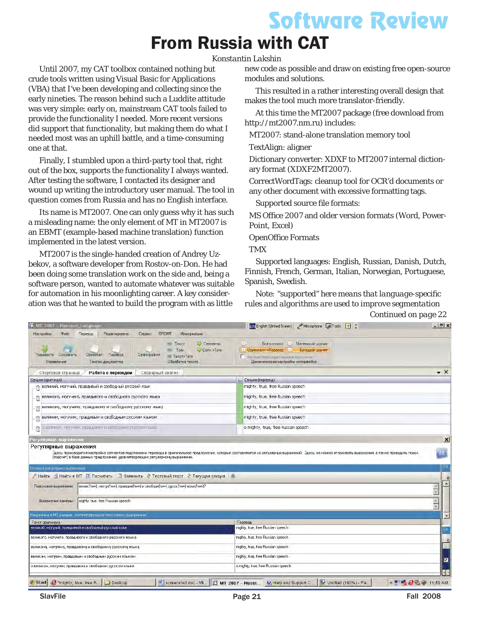## Software Review

### From Russia with CAT

*Konstantin Lakshin*

Until 2007, my CAT toolbox contained nothing but crude tools written using Visual Basic for Applications (VBA) that I've been developing and collecting since the early nineties. The reason behind such a Luddite attitude was very simple: early on, mainstream CAT tools failed to provide the functionality I needed. More recent versions did support that functionality, but making them do what I needed most was an uphill battle, and a time-consuming one at that.

Finally, I stumbled upon a third-party tool that, right out of the box, supports the functionality I always wanted. After testing the software, I contacted its designer and wound up writing the introductory user manual. The tool in question comes from Russia and has no English interface.

Its name is MT2007. One can only guess why it has such a misleading name: the only element of MT in MT2007 is an EBMT (example-based machine translation) function implemented in the latest version.

MT2007 is the single-handed creation of Andrey Uzbekov, a software developer from Rostov-on-Don. He had been doing some translation work on the side and, being a software person, wanted to automate whatever was suitable for automation in his moonlighting career. A key consideration was that he wanted to build the program with as little

new code as possible and draw on existing free open-source modules and solutions.

This resulted in a rather interesting overall design that makes the tool much more translator-friendly.

At this time the MT2007 package (free download from http://mt2007.nm.ru) includes:

MT2007: stand-alone translation memory tool

TextAlign: aligner

Dictionary converter: XDXF to MT2007 internal dictionary format (XDXF2MT2007).

CorrectWordTags: cleanup tool for OCR'd documents or any other document with excessive formatting tags.

Supported source file formats:

MS Office 2007 and older version formats (Word, Power-Point, Excel)

**OpenOffice Formats** 

**TMX** 

Supported languages: English, Russian, Danish, Dutch, Finnish, French, German, Italian, Norwegian, Portuguese, Spanish, Swedish.

*Note: "supported" here means that language-specific rules and algorithms are used to improve segmentation* 

| <b>F. MT 2007</b><br>Russian Language                          |                                                         |                                                                                                                                                                | The English (United States) Wicrophone Engl Tools [?]                                                                                                         | $ P$ $\times$       |  |
|----------------------------------------------------------------|---------------------------------------------------------|----------------------------------------------------------------------------------------------------------------------------------------------------------------|---------------------------------------------------------------------------------------------------------------------------------------------------------------|---------------------|--|
| Настройки<br>Файл<br>Перевод                                   | Редактировать                                           | <b>TPOMT</b><br>Информация<br>Сервис                                                                                                                           |                                                                                                                                                               |                     |  |
| Перевести<br>Сохранить<br>Управление                           | Перевод<br>Оригинал<br>Тексты документов                | ДУ Сегменты<br>Текст<br>Cent.+Tant<br>Тэги<br>Орфографки<br>- Текст+Тэпи<br>Обработка текста                                                                   | Все колонки<br>Маленький шрифт<br>œ<br>• Оригиналс->Перевод<br>Большой шрифт<br>80<br>Автоматически раскрывать подсекции<br>Динамические настройки интерфейса |                     |  |
| Стартовая страница                                             | Работа с переводом                                      | Словарный анализ                                                                                                                                               |                                                                                                                                                               | $\mathbf{v} \times$ |  |
| Секция (оригинал)                                              |                                                         |                                                                                                                                                                | Секция (перевод)                                                                                                                                              |                     |  |
| великий, могучий, правдивый и свободный русский язык           |                                                         |                                                                                                                                                                | mighty, true, free Russian speech                                                                                                                             |                     |  |
| П великого, могучего, правдивого и свободного русского языка   |                                                         |                                                                                                                                                                | mighty, true, free Russian speech                                                                                                                             |                     |  |
| [5] Великому, могучему, правдивому и свободному русскому языку |                                                         |                                                                                                                                                                | mighty, true, free Russian speech                                                                                                                             |                     |  |
| [) великим, могучим, правдивым и свободным русским языком      |                                                         |                                                                                                                                                                | mighty, true, free Russian speech                                                                                                                             |                     |  |
| m                                                              | э великом, могучем, правдивом и свободном русском языке |                                                                                                                                                                | o mighty, true, free Russian speech                                                                                                                           |                     |  |
| Регулярные выражения                                           |                                                         |                                                                                                                                                                |                                                                                                                                                               | $\mathbf{x}$        |  |
| Отладка регулярных выражений                                   |                                                         | (подсчет) в базе данных предложений, удовлетворяющих регулярному выражению.<br>Иайти с Найти в МТ   2 Посчитать   3 Заменить С Тестовый текст С Текущая секция |                                                                                                                                                               | , Oó                |  |
| Поисковое выражение:                                           |                                                         | велик(\w+), могуч(\w+), правдив(\w+) и свободн(\w+) русск(\w+) язык(\w+)?                                                                                      |                                                                                                                                                               | Ē.<br>$\bullet$     |  |
|                                                                |                                                         |                                                                                                                                                                |                                                                                                                                                               | $\frac{1}{2}$       |  |
| Выражение замены                                               | mighty, true, free Russian speech                       |                                                                                                                                                                |                                                                                                                                                               | $\frac{a}{r}$       |  |
| Найденные в МТ данные, соответствующие поисковому выражению    |                                                         |                                                                                                                                                                |                                                                                                                                                               | T                   |  |
| Текст оригинала                                                |                                                         |                                                                                                                                                                | Перевод                                                                                                                                                       |                     |  |
| великий, могучий, правдивый и свободный русский язык.          |                                                         |                                                                                                                                                                | mighty, true, free Russian speech                                                                                                                             | [Ba                 |  |
| великого, могучего, правдивого и свободного русского языка     |                                                         |                                                                                                                                                                | mighty, true, free Russian speech                                                                                                                             |                     |  |
| великому, могучему, правдивому и свободному русскому языку     |                                                         |                                                                                                                                                                | mighty, true, free Russian speech                                                                                                                             |                     |  |
| великим, могучим, правдивым и свободным русским языком         |                                                         |                                                                                                                                                                | mighty, true, free Russian speech                                                                                                                             | $\blacksquare$      |  |
| о великом, могучем, правдивом и свободном русском языке        |                                                         |                                                                                                                                                                | o mighty, true, free Russian speech                                                                                                                           |                     |  |
| <sup>9</sup> "mighty, true, free R<br><b>Start</b>             | Desktop                                                 |                                                                                                                                                                | Untitled (100%) - Pa.<br>$\kappa = 11.50$ AM<br>Screenshot.doc - Mi   1 MT 2007 - Russi   0 Help and Support C                                                |                     |  |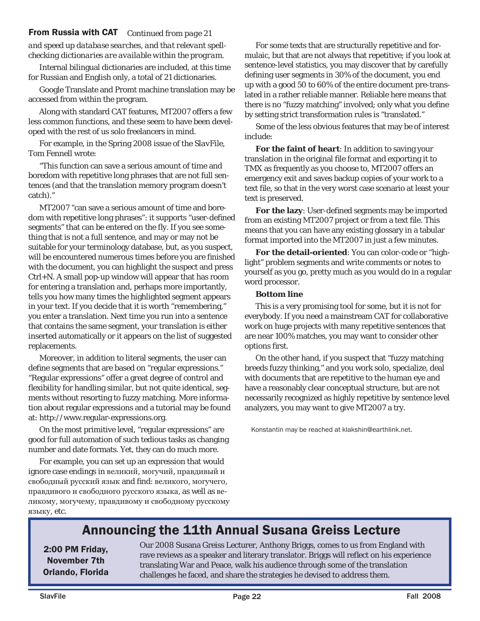### From Russia with CAT *Continued from page 21*

*and speed up database searches, and that relevant spellchecking dictionaries are available within the program.*

Internal bilingual dictionaries are included, at this time for Russian and English only, a total of 21 dictionaries.

Google Translate and Promt machine translation may be accessed from within the program.

Along with standard CAT features, MT2007 offers a few less common functions, and these seem to have been developed with the rest of us solo freelancers in mind.

For example, in the Spring 2008 issue of the *SlavFile*, Tom Fennell wrote:

"This function can save a serious amount of time and boredom with repetitive long phrases that are not full sentences (and that the translation memory program doesn't catch)."

MT2007 "can save a serious amount of time and boredom with repetitive long phrases": it supports "user-defined segments" that can be entered on the fly. If you see something that is not a full sentence, and may or may not be suitable for your terminology database, but, as you suspect, will be encountered numerous times before you are finished with the document, you can highlight the suspect and press Ctrl+N. A small pop-up window will appear that has room for entering a translation and, perhaps more importantly, tells you how many times the highlighted segment appears in your text. If you decide that it is worth "remembering," you enter a translation. Next time you run into a sentence that contains the same segment, your translation is either inserted automatically or it appears on the list of suggested replacements.

Moreover, in addition to literal segments, the user can define segments that are based on "regular expressions." "Regular expressions" offer a great degree of control and flexibility for handling similar, but not quite identical, segments without resorting to fuzzy matching. More information about regular expressions and a tutorial may be found at: http://www.regular-expressions.org.

On the most primitive level, "regular expressions" are good for full automation of such tedious tasks as changing number and date formats. Yet, they can do much more.

For example, you can set up an expression that would ignore case endings in великий, могучий, правдивый и свободный русский язык and find: великого, могучего, правдивого и свободного русского языка, as well as великому, могучему, правдивому и свободному русскому языку, etc.

For some texts that are structurally repetitive and formulaic, but that are not always that repetitive; if you look at sentence-level statistics, you may discover that by carefully defining user segments in 30% of the document, you end up with a good 50 to 60% of the entire document pre-translated in a rather reliable manner. Reliable here means that there is no "fuzzy matching" involved; only what you define by setting strict transformation rules is "translated."

Some of the less obvious features that may be of interest include:

**For the faint of heart**: In addition to saving your translation in the original file format and exporting it to TMX as frequently as you choose to, MT2007 offers an emergency exit and saves backup copies of your work to a text file, so that in the very worst case scenario at least your text is preserved.

For the lazy: User-defined segments may be imported from an existing MT2007 project or from a text file. This means that you can have any existing glossary in a tabular format imported into the MT2007 in just a few minutes.

**For the detail-oriented**: You can color-code or "highlight" problem segments and write comments or notes to yourself as you go, pretty much as you would do in a regular word processor.

#### **Bottom line**

This is a very promising tool for some, but it is not for everybody. If you need a mainstream CAT for collaborative work on huge projects with many repetitive sentences that are near 100% matches, you may want to consider other options first.

On the other hand, if you suspect that "fuzzy matching breeds fuzzy thinking," and you work solo, specialize, deal with documents that are repetitive to the human eye and have a reasonably clear conceptual structure, but are not necessarily recognized as highly repetitive by sentence level analyzers, you may want to give MT2007 a try.

Konstantin may be reached at klakshin@earthlink.net.

### Announcing the 11th Annual Susana Greiss Lecture

2:00 PM Friday, November 7th Orlando, Florida Our 2008 Susana Greiss Lecturer, Anthony Briggs, comes to us from England with rave reviews as a speaker and literary translator. Briggs will reflect on his experience translating War and Peace, walk his audience through some of the translation challenges he faced, and share the strategies he devised to address them.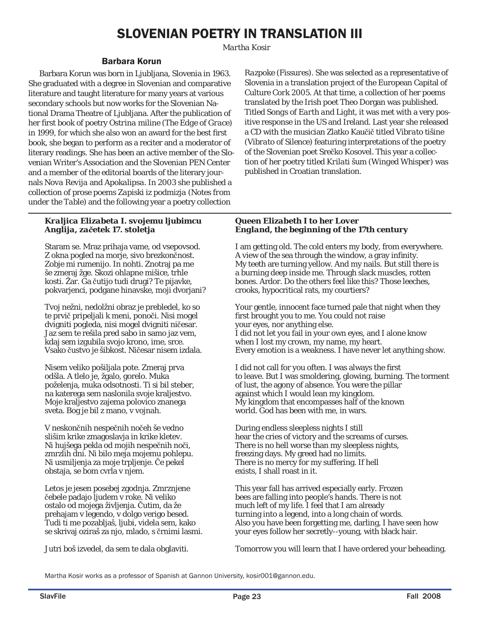### SLOVENIAN POETRY IN TRANSLATION III

*Martha Kosir*

### Barbara Korun

Barbara Korun was born in Ljubljana, Slovenia in 1963. She graduated with a degree in Slovenian and comparative literature and taught literature for many years at various secondary schools but now works for the Slovenian National Drama Theatre of Ljubljana. After the publication of her first book of poetry *Ostrina miline* (*The Edge of Grace*) in 1999, for which she also won an award for the best first book, she began to perform as a reciter and a moderator of literary readings. She has been an active member of the Slovenian Writer's Association and the Slovenian PEN Center and a member of the editorial boards of the literary journals *Nova Revija* and *Apokalipsa*. In 2003 she published a collection of prose poems *Zapiski iz podmizja* (*Notes from under the Table)* and the following year a poetry collection

*Razpoke (Fissures*)*.* She was selected as a representative of Slovenia in a translation project of the European Capital of Culture *Cork 2005*. At that time, a collection of her poems translated by the Irish poet Theo Dorgan was published. Titled *Songs of Earth and Light*, it was met with a very positive response in the US and Ireland. Last year she released a CD with the musician Zlatko Kaučič titled *Vibrato tišine (Vibrato of Silence)* featuring interpretations of the poetry of the Slovenian poet Srečko Kosovel. This year a collection of her poetry titled *Krilati šum (Winged Whisper)* was published in Croatian translation.

#### *Kraljica Elizabeta I. svojemu ljubimcu Anglija, začetek 17. stoletja*

Staram se. Mraz prihaja vame, od vsepovsod. Z okna pogled na morje, sivo brezkončnost. Zobje mi rumenijo. In nohti. Znotraj pa me še zmeraj žge. Skozi ohlapne mišice, trhle kosti. Žar. Ga čutijo tudi drugi? Te pijavke, pokvarjenci, podgane hinavske, moji dvorjani?

Tvoj nežni, nedolžni obraz je prebledel, ko so te prvič pripeljali k meni, ponoči. Nisi mogel dvigniti pogleda, nisi mogel dvigniti ničesar. Jaz sem te rešila pred sabo in samo jaz vem, kdaj sem izgubila svojo krono, ime, srce. Vsako čustvo je šibkost. Ničesar nisem izdala.

Nisem veliko pošiljala pote. Zmeraj prva odšla. A tlelo je, žgalo, gorelo. Muka poželenja, muka odsotnosti. Ti si bil steber, na katerega sem naslonila svoje kraljestvo. Moje kraljestvo zajema polovico znanega sveta. Bog je bil z mano, v vojnah.

V neskončnih nespečnih nočeh še vedno slišim krike zmagoslavja in krike kletev. Ni hujšega pekla od mojih nespečnih noči, zmrzlih dni. Ni bilo meja mojemu pohlepu. Ni usmiljenja za moje trpljenje. Če pekel obstaja, se bom cvrla v njem.

Letos je jesen posebej zgodnja. Zmrznjene čebele padajo ljudem v roke. Ni veliko ostalo od mojega življenja. Čutim, da že prehajam v legendo, v dolgo verigo besed. Tudi ti me pozabljaš, ljubi, videla sem, kako se skrivaj oziraš za njo, mlado, s črnimi lasmi.

Jutri boš izvedel, da sem te dala obglaviti.

#### *Queen Elizabeth I to her Lover England, the beginning of the 17th century*

I am getting old. The cold enters my body, from everywhere. A view of the sea through the window, a gray infinity. My teeth are turning yellow. And my nails. But still there is a burning deep inside me. Through slack muscles, rotten bones. Ardor. Do the others feel like this? Those leeches, crooks, hypocritical rats, my courtiers?

Your gentle, innocent face turned pale that night when they first brought you to me. You could not raise your eyes, nor anything else. I did not let you fail in your own eyes, and I alone know when I lost my crown, my name, my heart. Every emotion is a weakness. I have never let anything show.

I did not call for you often. I was always the first to leave. But I was smoldering, glowing, burning. The torment of lust, the agony of absence. You were the pillar against which I would lean my kingdom. My kingdom that encompasses half of the known world. God has been with me, in wars.

During endless sleepless nights I still hear the cries of victory and the screams of curses. There is no hell worse than my sleepless nights, freezing days. My greed had no limits. There is no mercy for my suffering. If hell exists, I shall roast in it.

This year fall has arrived especially early. Frozen bees are falling into people's hands. There is not much left of my life. I feel that I am already turning into a legend, into a long chain of words. Also you have been forgetting me, darling, I have seen how your eyes follow her secretly--young, with black hair.

Tomorrow you will learn that I have ordered your beheading.

Martha Kosir works as a professor of Spanish at Gannon University, kosir001@gannon.edu.